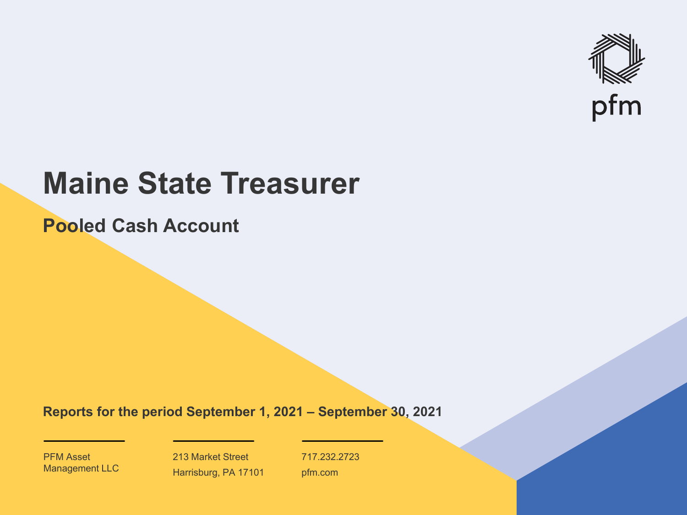

# **Maine State Treasurer**

**Pooled Cash Account**

**Reports for the period September 1, 2021 – September 30, 2021**

PFM Asset Management LLC

213 Market Street Harrisburg, PA 17101 717.232.2723 pfm.com

 $\mathcal{P}_\text{max}$  and  $\mathcal{P}_\text{max}$  is the probability of  $\mathcal{P}_\text{max}$  and  $\mathcal{P}_\text{max}$  and  $\mathcal{P}_\text{max}$  and  $\mathcal{P}_\text{max}$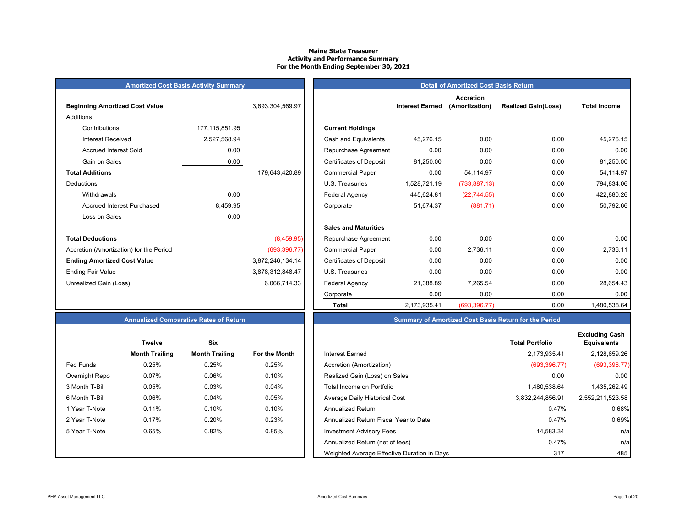#### **Maine State Treasurer Activity and Performance Summary For the Month Ending September 30, 2021**

| <b>Amortized Cost Basis Activity Summary</b> |  |
|----------------------------------------------|--|
|                                              |  |

| <b>Beginning Amortized Cost Value</b>   |                   | 3,693,304,569.97 | <b>Interest Earned</b>                      |
|-----------------------------------------|-------------------|------------------|---------------------------------------------|
| Additions                               |                   |                  |                                             |
| Contributions                           | 177, 115, 851. 95 |                  | <b>Current Holdings</b>                     |
| Interest Received                       | 2,527,568.94      |                  | Cash and Equivalents<br>45,276.15           |
| <b>Accrued Interest Sold</b>            | 0.00              |                  | 0.00<br>Repurchase Agreement                |
| Gain on Sales                           | 0.00              |                  | <b>Certificates of Deposit</b><br>81,250.00 |
| <b>Total Additions</b>                  |                   | 179,643,420.89   | 0.00<br><b>Commercial Paper</b>             |
| Deductions                              |                   |                  | 1,528,721.19<br>U.S. Treasuries             |
| Withdrawals                             | 0.00              |                  | Federal Agency<br>445,624.81                |
| <b>Accrued Interest Purchased</b>       | 8,459.95          |                  | 51,674.37<br>Corporate                      |
| Loss on Sales                           | 0.00              |                  |                                             |
|                                         |                   |                  | <b>Sales and Maturities</b>                 |
| <b>Total Deductions</b>                 |                   | (8,459.95)       | 0.00<br>Repurchase Agreement                |
| Accretion (Amortization) for the Period |                   | (693, 396.77)    | 0.00<br><b>Commercial Paper</b>             |
| <b>Ending Amortized Cost Value</b>      |                   | 3,872,246,134.14 | 0.00<br><b>Certificates of Deposit</b>      |
| <b>Ending Fair Value</b>                |                   | 3,878,312,848.47 | 0.00<br>U.S. Treasuries                     |
| Unrealized Gain (Loss)                  |                   | 6,066,714.33     | Federal Agency<br>21,388.89                 |
|                                         |                   |                  | $\sim$ $\sim$ $\sim$                        |

| <b>Amortized Cost Basis Activity Summary</b> |                   |                  |                                |                        | <b>Detail of Amortized Cost Basis Return</b> |                            |                     |
|----------------------------------------------|-------------------|------------------|--------------------------------|------------------------|----------------------------------------------|----------------------------|---------------------|
| <b>Beginning Amortized Cost Value</b>        |                   | 3,693,304,569.97 |                                | <b>Interest Earned</b> | <b>Accretion</b><br>(Amortization)           | <b>Realized Gain(Loss)</b> | <b>Total Income</b> |
| Additions                                    |                   |                  |                                |                        |                                              |                            |                     |
| Contributions                                | 177, 115, 851. 95 |                  | <b>Current Holdings</b>        |                        |                                              |                            |                     |
| <b>Interest Received</b>                     | 2,527,568.94      |                  | Cash and Equivalents           | 45,276.15              | 0.00                                         | 0.00                       | 45,276.15           |
| <b>Accrued Interest Sold</b>                 | 0.00              |                  | Repurchase Agreement           | 0.00                   | 0.00                                         | 0.00                       | 0.00                |
| Gain on Sales                                | 0.00              |                  | <b>Certificates of Deposit</b> | 81,250.00              | 0.00                                         | 0.00                       | 81,250.00           |
| <b>Total Additions</b>                       |                   | 179,643,420.89   | <b>Commercial Paper</b>        | 0.00                   | 54,114.97                                    | 0.00                       | 54,114.97           |
| Deductions                                   |                   |                  | U.S. Treasuries                | 1,528,721.19           | (733, 887.13)                                | 0.00                       | 794,834.06          |
| Withdrawals                                  | 0.00              |                  | <b>Federal Agency</b>          | 445,624.81             | (22, 744.55)                                 | 0.00                       | 422,880.26          |
| <b>Accrued Interest Purchased</b>            | 8,459.95          |                  | Corporate                      | 51,674.37              | (881.71)                                     | 0.00                       | 50,792.66           |
| Loss on Sales                                | 0.00              |                  |                                |                        |                                              |                            |                     |
|                                              |                   |                  | <b>Sales and Maturities</b>    |                        |                                              |                            |                     |
| <b>Total Deductions</b>                      |                   | (8,459.95)       | Repurchase Agreement           | 0.00                   | 0.00                                         | 0.00                       | 0.00                |
| Accretion (Amortization) for the Period      |                   | (693, 396.77)    | <b>Commercial Paper</b>        | 0.00                   | 2,736.11                                     | 0.00                       | 2,736.11            |
| <b>Ending Amortized Cost Value</b>           |                   | 3,872,246,134.14 | <b>Certificates of Deposit</b> | 0.00                   | 0.00                                         | 0.00                       | 0.00                |
| Ending Fair Value                            |                   | 3,878,312,848.47 | U.S. Treasuries                | 0.00                   | 0.00                                         | 0.00                       | 0.00                |
| Unrealized Gain (Loss)                       |                   | 6,066,714.33     | Federal Agency                 | 21,388.89              | 7,265.54                                     | 0.00                       | 28,654.43           |
|                                              |                   |                  | Corporate                      | 0.00                   | 0.00                                         | 0.00                       | 0.00                |
|                                              |                   |                  | <b>Total</b>                   | 2,173,935.41           | (693, 396.77)                                | 0.00                       | 1,480,538.64        |

## **Annualized Comparative Rates of Return Summary of Amortized Cost Basis Return for the Period**

| <b>Twelve</b>  |                       | Six                   |               |
|----------------|-----------------------|-----------------------|---------------|
|                | <b>Month Trailing</b> | <b>Month Trailing</b> | For the Month |
| Fed Funds      | 0.25%                 | 0.25%                 | 0.25%         |
| Overnight Repo | 0.07%                 | 0.06%                 | 0.10%         |
| 3 Month T-Bill | 0.05%                 | 0.03%                 | 0.04%         |
| 6 Month T-Bill | 0.06%                 | 0.04%                 | 0.05%         |
| 1 Year T-Note  | 0.11%                 | 0.10%                 | 0.10%         |
| 2 Year T-Note  | 0.17%                 | 0.20%                 | 0.23%         |
| 5 Year T-Note  | 0.65%                 | 0.82%                 | 0.85%         |
|                |                       |                       |               |
|                |                       |                       |               |

|                | <b>Twelve</b>         | Six                   |               |                                             | <b>Total Portfolio</b> | <b>Excluding Cash</b><br><b>Equivalents</b> |
|----------------|-----------------------|-----------------------|---------------|---------------------------------------------|------------------------|---------------------------------------------|
|                | <b>Month Trailing</b> | <b>Month Trailing</b> | For the Month | <b>Interest Earned</b>                      | 2,173,935.41           | 2,128,659.26                                |
| Fed Funds      | 0.25%                 | 0.25%                 | 0.25%         | Accretion (Amortization)                    | (693, 396.77)          | (693, 396.77)                               |
| Overnight Repo | 0.07%                 | 0.06%                 | 0.10%         | Realized Gain (Loss) on Sales               | 0.00                   |                                             |
| 3 Month T-Bill | 0.05%                 | 0.03%                 | 0.04%         | Total Income on Portfolio                   | 1,480,538.64           | 1,435,262.49                                |
| 6 Month T-Bill | 0.06%                 | 0.04%                 | 0.05%         | Average Daily Historical Cost               | 3,832,244,856.91       | 2,552,211,523.58                            |
| 1 Year T-Note  | 0.11%                 | 0.10%                 | 0.10%         | Annualized Return                           | 0.47%                  |                                             |
| 2 Year T-Note  | 0.17%                 | 0.20%                 | 0.23%         | Annualized Return Fiscal Year to Date       | 0.47%                  |                                             |
| 5 Year T-Note  | 0.65%                 | 0.82%                 | 0.85%         | <b>Investment Advisory Fees</b>             | 14,583.34              |                                             |
|                |                       |                       |               | Annualized Return (net of fees)             | 0.47%                  |                                             |
|                |                       |                       |               | Weighted Average Effective Duration in Days | 317                    |                                             |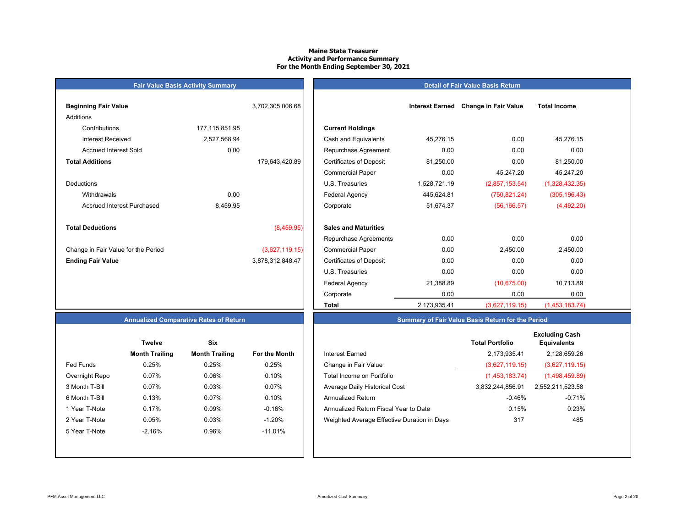#### **Maine State Treasurer Activity and Performance Summary For the Month Ending September 30, 2021**

| <b>Beginning Fair Value</b>         |                | 3,702,305,006.68 |                                |
|-------------------------------------|----------------|------------------|--------------------------------|
| Additions                           |                |                  |                                |
| Contributions                       | 177,115,851.95 |                  | <b>Current Holdings</b>        |
| <b>Interest Received</b>            | 2,527,568.94   |                  | Cash and Equivalents           |
| <b>Accrued Interest Sold</b>        | 0.00           |                  | Repurchase Agreeme             |
| <b>Total Additions</b>              |                | 179,643,420.89   | <b>Certificates of Deposit</b> |
|                                     |                |                  | <b>Commercial Paper</b>        |
| Deductions                          |                |                  | U.S. Treasuries                |
| Withdrawals                         | 0.00           |                  | <b>Federal Agency</b>          |
| Accrued Interest Purchased          | 8,459.95       |                  | Corporate                      |
|                                     |                |                  |                                |
| <b>Total Deductions</b>             |                | (8,459.95)       | <b>Sales and Maturities</b>    |
|                                     |                |                  | Repurchase Agreeme             |
| Change in Fair Value for the Period |                | (3,627,119.15)   | <b>Commercial Paper</b>        |
| <b>Ending Fair Value</b>            |                | 3,878,312,848.47 | <b>Certificates of Deposit</b> |
|                                     |                |                  |                                |

**Fair Value Basis Activity Summary**

|  |  | <b>Detail of Fair Value Basis Return</b> |
|--|--|------------------------------------------|
|  |  |                                          |

| Beginning Fair Value                |                   | 3,702,305,006.68 |                                | <b>Interest Earned</b> | <b>Change in Fair Value</b> | <b>Total Income</b> |
|-------------------------------------|-------------------|------------------|--------------------------------|------------------------|-----------------------------|---------------------|
| Additions                           |                   |                  |                                |                        |                             |                     |
| Contributions                       | 177, 115, 851. 95 |                  | <b>Current Holdings</b>        |                        |                             |                     |
| <b>Interest Received</b>            | 2,527,568.94      |                  | Cash and Equivalents           | 45,276.15              | 0.00                        | 45,276.15           |
|                                     |                   |                  |                                |                        |                             |                     |
| <b>Accrued Interest Sold</b>        | 0.00              |                  | Repurchase Agreement           | 0.00                   | 0.00                        | 0.00                |
| <b>Total Additions</b>              |                   | 179,643,420.89   | <b>Certificates of Deposit</b> | 81,250.00              | 0.00                        | 81,250.00           |
|                                     |                   |                  | <b>Commercial Paper</b>        | 0.00                   | 45,247.20                   | 45,247.20           |
| Deductions                          |                   |                  | U.S. Treasuries                | 1,528,721.19           | (2,857,153.54)              | (1,328,432.35)      |
| Withdrawals                         | 0.00              |                  | <b>Federal Agency</b>          | 445,624.81             | (750, 821.24)               | (305, 196.43)       |
| <b>Accrued Interest Purchased</b>   | 8,459.95          |                  | Corporate                      | 51,674.37              | (56, 166.57)                | (4,492.20)          |
| <b>Total Deductions</b>             |                   | (8,459.95)       | <b>Sales and Maturities</b>    |                        |                             |                     |
|                                     |                   |                  | Repurchase Agreements          | 0.00                   | 0.00                        | 0.00                |
| Change in Fair Value for the Period |                   | (3,627,119.15)   | <b>Commercial Paper</b>        | 0.00                   | 2,450.00                    | 2,450.00            |
| <b>Ending Fair Value</b>            |                   | 3,878,312,848.47 | <b>Certificates of Deposit</b> | 0.00                   | 0.00                        | 0.00                |
|                                     |                   |                  | U.S. Treasuries                | 0.00                   | 0.00                        | 0.00                |
|                                     |                   |                  | <b>Federal Agency</b>          | 21,388.89              | (10,675.00)                 | 10,713.89           |
|                                     |                   |                  | Corporate                      | 0.00                   | 0.00                        | 0.00                |
|                                     |                   |                  | <b>Total</b>                   | 2,173,935.41           | (3,627,119.15)              | (1,453,183.74)      |

## **Annualized Comparative Rates of Return**

|                | Twelve                | <b>Six</b>            |                      |
|----------------|-----------------------|-----------------------|----------------------|
|                | <b>Month Trailing</b> | <b>Month Trailing</b> | <b>For the Month</b> |
| Fed Funds      | 0.25%                 | 0.25%                 | 0.25%                |
| Overnight Repo | 0.07%                 | 0.06%                 | 0.10%                |
| 3 Month T-Bill | 0.07%                 | 0.03%                 | 0.07%                |
| 6 Month T-Bill | 0.13%                 | 0.07%                 | 0.10%                |
| 1 Year T-Note  | 0.17%                 | 0.09%                 | $-0.16%$             |
| 2 Year T-Note  | 0.05%                 | 0.03%                 | $-1.20%$             |
| 5 Year T-Note  | $-2.16%$              | 0.96%                 | $-11.01%$            |
|                |                       |                       |                      |
|                |                       |                       |                      |

|                | <b>Twelve</b>         | <b>Six</b>            |               |                                             | <b>Total Portfolio</b> | <b>Excluding Cash</b><br><b>Equivalents</b> |
|----------------|-----------------------|-----------------------|---------------|---------------------------------------------|------------------------|---------------------------------------------|
|                | <b>Month Trailing</b> | <b>Month Trailing</b> | For the Month | Interest Earned                             | 2,173,935.41           | 2,128,659.26                                |
| Fed Funds      | 0.25%                 | 0.25%                 | 0.25%         | Change in Fair Value                        | (3,627,119.15)         | (3,627,119.15)                              |
| Overnight Repo | 0.07%                 | 0.06%                 | 0.10%         | Total Income on Portfolio                   | (1,453,183.74)         | (1,498,459.89)                              |
| 3 Month T-Bill | 0.07%                 | 0.03%                 | 0.07%         | Average Daily Historical Cost               | 3,832,244,856.91       | 2,552,211,523.58                            |
| 6 Month T-Bill | 0.13%                 | 0.07%                 | 0.10%         | Annualized Return                           | $-0.46%$               | -0.71%                                      |
| 1 Year T-Note  | 0.17%                 | 0.09%                 | $-0.16%$      | Annualized Return Fiscal Year to Date       | 0.15%                  | 0.23%                                       |
| 2 Year T-Note  | 0.05%                 | 0.03%                 | $-1.20%$      | Weighted Average Effective Duration in Days | 317                    | 485                                         |
| 5 Year T-Note  | $-2.16%$              | 0.96%                 | $-11.01\%$    |                                             |                        |                                             |
|                |                       |                       |               |                                             |                        |                                             |

**Summary of Fair Value Basis Return for the Period**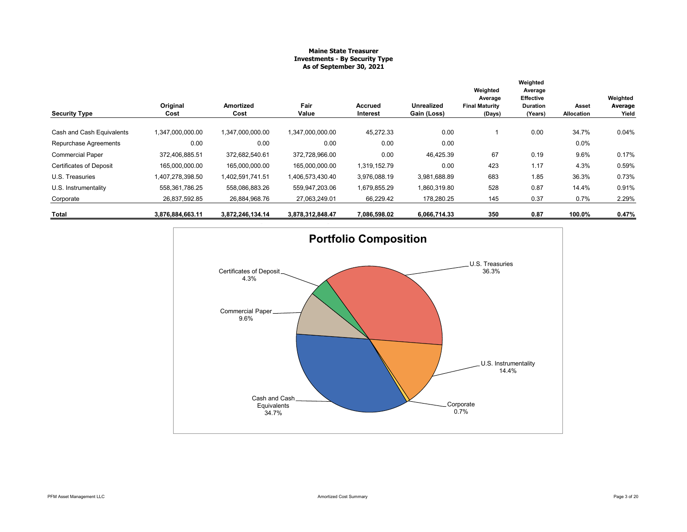#### **Maine State Treasurer Investments - By Security Type As of September 30, 2021**

| <b>Security Type</b>           | Original<br>Cost | <b>Amortized</b><br>Cost | Fair<br>Value    | Accrued<br>Interest | <b>Unrealized</b><br>Gain (Loss) | Weighted<br>Average<br><b>Final Maturity</b><br>(Days) | Weighted<br>Average<br>Effective<br><b>Duration</b><br>(Years) | Asset<br>Allocation | Weighted<br>Average<br>Yield |
|--------------------------------|------------------|--------------------------|------------------|---------------------|----------------------------------|--------------------------------------------------------|----------------------------------------------------------------|---------------------|------------------------------|
|                                |                  |                          |                  |                     |                                  |                                                        |                                                                |                     |                              |
| Cash and Cash Equivalents      | 1,347,000,000.00 | 1,347,000,000.00         | 1,347,000,000.00 | 45,272.33           | 0.00                             |                                                        | 0.00                                                           | 34.7%               | 0.04%                        |
| Repurchase Agreements          | 0.00             | 0.00                     | 0.00             | 0.00                | 0.00                             |                                                        |                                                                | $0.0\%$             |                              |
| <b>Commercial Paper</b>        | 372,406,885.51   | 372.682.540.61           | 372,728,966.00   | 0.00                | 46,425.39                        | 67                                                     | 0.19                                                           | 9.6%                | 0.17%                        |
| <b>Certificates of Deposit</b> | 165,000,000.00   | 165.000.000.00           | 165,000,000.00   | 1,319,152.79        | 0.00                             | 423                                                    | 1.17                                                           | 4.3%                | 0.59%                        |
| U.S. Treasuries                | 1,407,278,398.50 | 1,402,591,741.51         | 1,406,573,430.40 | 3,976,088.19        | 3,981,688.89                     | 683                                                    | 1.85                                                           | 36.3%               | 0.73%                        |
| U.S. Instrumentality           | 558,361,786.25   | 558,086,883.26           | 559,947,203.06   | 1,679,855.29        | 1,860,319.80                     | 528                                                    | 0.87                                                           | 14.4%               | 0.91%                        |
| Corporate                      | 26,837,592.85    | 26,884,968.76            | 27.063.249.01    | 66,229.42           | 178,280.25                       | 145                                                    | 0.37                                                           | 0.7%                | 2.29%                        |
| Total                          | 3,876,884,663.11 | 3,872,246,134.14         | 3,878,312,848.47 | 7,086,598.02        | 6,066,714.33                     | 350                                                    | 0.87                                                           | 100.0%              | 0.47%                        |

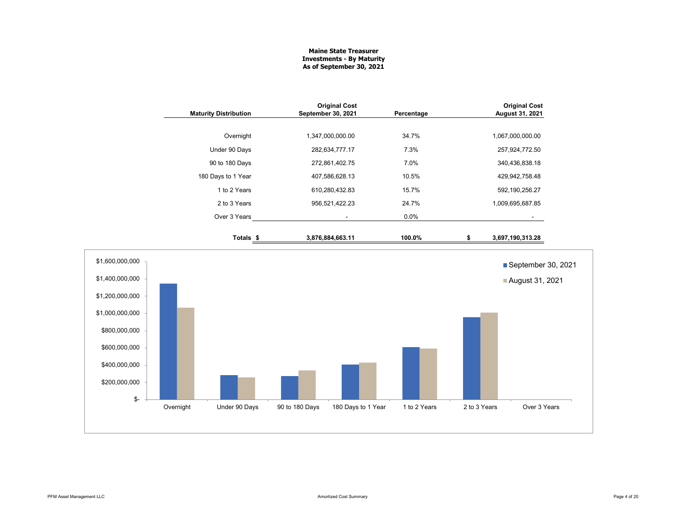### **Maine State Treasurer Investments - By Maturity As of September 30, 2021**

|                                                                                                                                                     | <b>Maturity Distribution</b> | <b>Original Cost</b><br>September 30, 2021 | Percentage                         |              | <b>Original Cost</b><br>August 31, 2021 |
|-----------------------------------------------------------------------------------------------------------------------------------------------------|------------------------------|--------------------------------------------|------------------------------------|--------------|-----------------------------------------|
|                                                                                                                                                     | Overnight                    | 1,347,000,000.00                           | 34.7%                              |              | 1,067,000,000.00                        |
|                                                                                                                                                     | Under 90 Days                | 282,634,777.17                             | 7.3%                               |              | 257,924,772.50                          |
|                                                                                                                                                     | 90 to 180 Days               | 272,861,402.75                             | 7.0%                               |              | 340,436,838.18                          |
|                                                                                                                                                     | 180 Days to 1 Year           | 407,586,628.13                             | 10.5%                              |              | 429,942,758.48                          |
|                                                                                                                                                     | 1 to 2 Years                 | 610,280,432.83                             | 15.7%                              |              | 592, 190, 256. 27                       |
|                                                                                                                                                     | 2 to 3 Years                 | 956,521,422.23                             | 24.7%                              |              | 1,009,695,687.85                        |
|                                                                                                                                                     | Over 3 Years                 | $\blacksquare$                             | 0.0%                               |              | $\sim$                                  |
|                                                                                                                                                     | Totals <sub>\$</sub>         | 3,876,884,663.11                           | 100.0%                             | \$           | 3,697,190,313.28                        |
| \$1,600,000,000<br>\$1,400,000,000<br>\$1,200,000,000<br>\$1,000,000,000<br>\$800,000,000<br>\$600,000,000<br>\$400,000,000<br>\$200,000,000<br>\$- |                              |                                            |                                    |              | September 30, 2021<br>August 31, 2021   |
|                                                                                                                                                     | Overnight<br>Under 90 Days   | 90 to 180 Days                             | 180 Days to 1 Year<br>1 to 2 Years | 2 to 3 Years | Over 3 Years                            |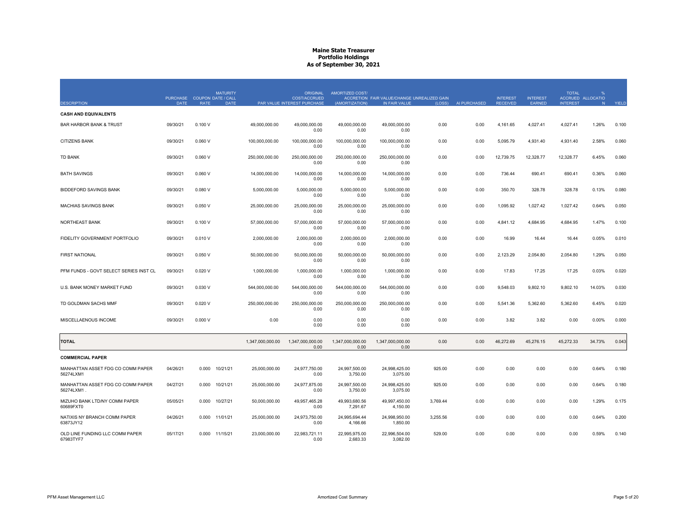|                                                   | PURCHASE COUPON DATE / CALL |             | <b>MATURITY</b> |                  | <b>ORIGINAL</b><br><b>COST/ACCRUED</b> | AMORTIZED COST/           | ACCRETION FAIR VALUE/CHANGE UNREALIZED GAIN |          |              | <b>INTEREST</b> | <b>INTEREST</b> | <b>TOTAL</b>    | $\%$<br>ACCRUED ALLOCATIO |       |
|---------------------------------------------------|-----------------------------|-------------|-----------------|------------------|----------------------------------------|---------------------------|---------------------------------------------|----------|--------------|-----------------|-----------------|-----------------|---------------------------|-------|
| <b>DESCRIPTION</b><br><b>CASH AND EQUIVALENTS</b> | <b>DATE</b>                 | <b>RATE</b> | <b>DATE</b>     |                  | PAR VALUE INTEREST PURCHASE            | (AMORTIZATION)            | IN FAIR VALUE                               | (LOSS)   | AI PURCHASED | <b>RECEIVED</b> | EARNED          | <b>INTEREST</b> | N.                        | YIELD |
| <b>BAR HARBOR BANK &amp; TRUST</b>                | 09/30/21                    | 0.100V      |                 | 49,000,000.00    | 49.000.000.00<br>0.00                  | 49.000.000.00<br>0.00     | 49,000,000.00<br>0.00                       | 0.00     | 0.00         | 4,161.65        | 4,027.41        | 4,027.41        | 1.26%                     | 0.100 |
| <b>CITIZENS BANK</b>                              | 09/30/21                    | 0.060V      |                 | 100,000,000.00   | 100,000,000.00<br>0.00                 | 100,000,000.00<br>0.00    | 100,000,000.00<br>0.00                      | 0.00     | 0.00         | 5,095.79        | 4,931.40        | 4,931.40        | 2.58%                     | 0.060 |
| <b>TD BANK</b>                                    | 09/30/21                    | 0.060V      |                 | 250,000,000.00   | 250,000,000.00<br>0.00                 | 250,000,000.00<br>0.00    | 250,000,000.00<br>0.00                      | 0.00     | 0.00         | 12,739.75       | 12,328.77       | 12,328.77       | 6.45%                     | 0.060 |
| <b>BATH SAVINGS</b>                               | 09/30/21                    | 0.060V      |                 | 14,000,000.00    | 14,000,000.00<br>0.00                  | 14,000,000.00<br>0.00     | 14,000,000.00<br>0.00                       | 0.00     | 0.00         | 736.44          | 690.41          | 690.41          | 0.36%                     | 0.060 |
| <b>BIDDEFORD SAVINGS BANK</b>                     | 09/30/21                    | 0.080V      |                 | 5,000,000.00     | 5,000,000.00<br>0.00                   | 5.000.000.00<br>0.00      | 5,000,000.00<br>0.00                        | 0.00     | 0.00         | 350.70          | 328.78          | 328.78          | 0.13%                     | 0.080 |
| <b>MACHIAS SAVINGS BANK</b>                       | 09/30/21                    | 0.050V      |                 | 25,000,000.00    | 25,000,000.00<br>0.00                  | 25,000,000.00<br>0.00     | 25,000,000.00<br>0.00                       | 0.00     | 0.00         | 1,095.92        | 1,027.42        | 1,027.42        | 0.64%                     | 0.050 |
| NORTHEAST BANK                                    | 09/30/21                    | 0.100V      |                 | 57,000,000.00    | 57,000,000.00<br>0.00                  | 57,000,000.00<br>0.00     | 57,000,000.00<br>0.00                       | 0.00     | 0.00         | 4,841.12        | 4,684.95        | 4,684.95        | 1.47%                     | 0.100 |
| FIDELITY GOVERNMENT PORTFOLIO                     | 09/30/21                    | 0.010V      |                 | 2,000,000.00     | 2,000,000.00<br>0.00                   | 2,000,000.00<br>0.00      | 2,000,000.00<br>0.00                        | 0.00     | 0.00         | 16.99           | 16.44           | 16.44           | 0.05%                     | 0.010 |
| <b>FIRST NATIONAL</b>                             | 09/30/21                    | 0.050V      |                 | 50,000,000.00    | 50,000,000.00<br>0.00                  | 50,000,000.00<br>0.00     | 50,000,000.00<br>0.00                       | 0.00     | 0.00         | 2,123.29        | 2,054.80        | 2,054.80        | 1.29%                     | 0.050 |
| PFM FUNDS - GOVT SELECT SERIES INST CL            | 09/30/21                    | 0.020V      |                 | 1,000,000.00     | 1,000,000.00<br>0.00                   | 1,000,000.00<br>0.00      | 1,000,000.00<br>0.00                        | 0.00     | 0.00         | 17.83           | 17.25           | 17.25           | 0.03%                     | 0.020 |
| U.S. BANK MONEY MARKET FUND                       | 09/30/21                    | 0.030 V     |                 | 544,000,000.00   | 544,000,000.00<br>0.00                 | 544,000,000.00<br>0.00    | 544,000,000.00<br>0.00                      | 0.00     | 0.00         | 9,548.03        | 9,802.10        | 9,802.10        | 14.03%                    | 0.030 |
| TD GOLDMAN SACHS MMF                              | 09/30/21                    | 0.020V      |                 | 250,000,000.00   | 250,000,000.00<br>0.00                 | 250,000,000.00<br>0.00    | 250,000,000.00<br>0.00                      | 0.00     | 0.00         | 5,541.36        | 5,362.60        | 5,362.60        | 6.45%                     | 0.020 |
| MISCELLAENOUS INCOME                              | 09/30/21                    | 0.000V      |                 | 0.00             | 0.00<br>0.00                           | 0.00<br>0.00              | 0.00<br>0.00                                | 0.00     | 0.00         | 3.82            | 3.82            | 0.00            | 0.00%                     | 0.000 |
| <b>TOTAL</b>                                      |                             |             |                 | 1,347,000,000.00 | 1,347,000,000.00<br>0.00               | 1,347,000,000.00<br>0.00  | 1,347,000,000.00<br>0.00                    | 0.00     | 0.00         | 46,272.69       | 45,276.15       | 45,272.33       | 34.73%                    | 0.043 |
| <b>COMMERCIAL PAPER</b>                           |                             |             |                 |                  |                                        |                           |                                             |          |              |                 |                 |                 |                           |       |
| MANHATTAN ASSET FDG CO COMM PAPER<br>56274LXM1    | 04/26/21                    | 0.000       | 10/21/21        | 25,000,000.00    | 24,977,750.00<br>0.00                  | 24,997,500.00<br>3,750.00 | 24,998,425.00<br>3,075.00                   | 925.00   | 0.00         | 0.00            | 0.00            | 0.00            | 0.64%                     | 0.180 |
| MANHATTAN ASSET FDG CO COMM PAPER<br>56274LXM1.   | 04/27/21                    | 0.000       | 10/21/21        | 25,000,000.00    | 24,977,875.00<br>0.00                  | 24,997,500.00<br>3,750.00 | 24,998,425.00<br>3,075.00                   | 925.00   | 0.00         | 0.00            | 0.00            | 0.00            | 0.64%                     | 0.180 |
| MIZUHO BANK LTD/NY COMM PAPER<br>60689FXT0        | 05/05/21                    | 0.000       | 10/27/21        | 50,000,000.00    | 49,957,465.28<br>0.00                  | 49,993,680.56<br>7,291.67 | 49,997,450.00<br>4,150.00                   | 3,769.44 | 0.00         | 0.00            | 0.00            | 0.00            | 1.29%                     | 0.175 |
| NATIXIS NY BRANCH COMM PAPER<br>63873JY12         | 04/26/21                    | 0.000       | 11/01/21        | 25,000,000.00    | 24,973,750.00<br>0.00                  | 24,995,694.44<br>4,166.66 | 24,998,950.00<br>1,850.00                   | 3,255.56 | 0.00         | 0.00            | 0.00            | 0.00            | 0.64%                     | 0.200 |
| OLD LINE FUNDING LLC COMM PAPER<br>67983TYF7      | 05/17/21                    |             | 0.000 11/15/21  | 23,000,000.00    | 22,983,721.11<br>0.00                  | 22,995,975.00<br>2.683.33 | 22,996,504.00<br>3.082.00                   | 529.00   | 0.00         | 0.00            | 0.00            | 0.00            | 0.59%                     | 0.140 |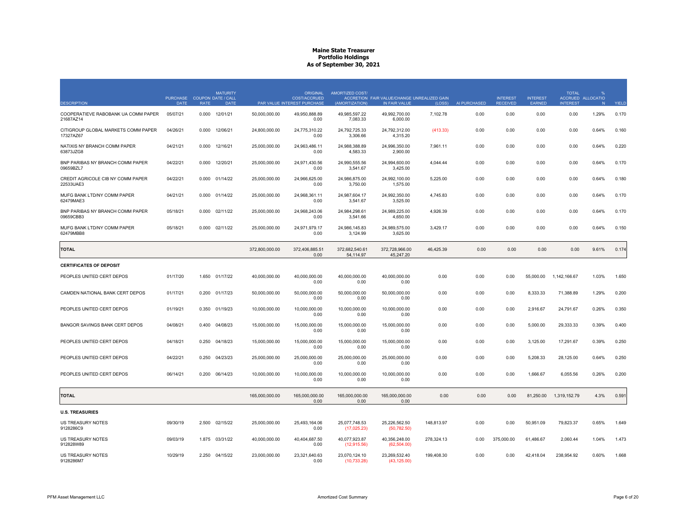| <b>DESCRIPTION</b>                               | DATE     | <b>MATURITY</b><br>PURCHASE COUPON DATE / CALL<br><b>RATE</b><br><b>DATE</b> |                | <b>ORIGINAL</b><br><b>COST/ACCRUED</b><br>PAR VALUE INTEREST PURCHASE | <b>AMORTIZED COST/</b><br>(AMORTIZATION) | ACCRETION FAIR VALUE/CHANGE UNREALIZED GAIN<br>IN FAIR VALUE | (LOSS)     | AI PURCHASED | <b>INTEREST</b><br><b>RECEIVED</b> | <b>INTEREST</b><br>EARNED | <b>TOTAL</b><br><b>INTEREST</b> | ACCRUED ALLOCATIO<br>N | YIELD |
|--------------------------------------------------|----------|------------------------------------------------------------------------------|----------------|-----------------------------------------------------------------------|------------------------------------------|--------------------------------------------------------------|------------|--------------|------------------------------------|---------------------------|---------------------------------|------------------------|-------|
| COOPERATIEVE RABOBANK UA COMM PAPER<br>21687AZ14 | 05/07/21 | 0.000<br>12/01/21                                                            | 50,000,000.00  | 49,950,888.89<br>0.00                                                 | 49,985,597.22<br>7,083.33                | 49,992,700.00<br>6,000.00                                    | 7,102.78   | 0.00         | 0.00                               | 0.00                      | 0.00                            | 1.29%                  | 0.170 |
| CITIGROUP GLOBAL MARKETS COMM PAPER<br>17327AZ67 | 04/26/21 | 12/06/21<br>0.000                                                            | 24,800,000.00  | 24,775,310.22<br>0.00                                                 | 24,792,725.33<br>3,306.66                | 24,792,312.00<br>4,315.20                                    | (413.33)   | 0.00         | 0.00                               | 0.00                      | 0.00                            | 0.64%                  | 0.160 |
| NATIXIS NY BRANCH COMM PAPER<br>63873JZG8        | 04/21/21 | 0.000<br>12/16/21                                                            | 25,000,000.00  | 24,963,486.11<br>0.00                                                 | 24,988,388.89<br>4,583.33                | 24,996,350.00<br>2,900.00                                    | 7,961.11   | 0.00         | 0.00                               | 0.00                      | 0.00                            | 0.64%                  | 0.220 |
| BNP PARIBAS NY BRANCH COMM PAPER<br>09659BZL7    | 04/22/21 | 0.000<br>12/20/21                                                            | 25.000.000.00  | 24.971.430.56<br>0.00                                                 | 24.990.555.56<br>3,541.67                | 24.994.600.00<br>3,425.00                                    | 4.044.44   | 0.00         | 0.00                               | 0.00                      | 0.00                            | 0.64%                  | 0.170 |
| CREDIT AGRICOLE CIB NY COMM PAPER<br>22533UAE3   | 04/22/21 | 0.000<br>01/14/22                                                            | 25,000,000.00  | 24,966,625.00<br>0.00                                                 | 24,986,875.00<br>3,750.00                | 24,992,100.00<br>1,575.00                                    | 5.225.00   | 0.00         | 0.00                               | 0.00                      | 0.00                            | 0.64%                  | 0.180 |
| MUFG BANK LTD/NY COMM PAPER<br>62479MAE3         | 04/21/21 | 01/14/22<br>0.000                                                            | 25,000,000.00  | 24.968.361.11<br>0.00                                                 | 24.987.604.17<br>3,541.67                | 24.992.350.00<br>3,525.00                                    | 4,745.83   | 0.00         | 0.00                               | 0.00                      | 0.00                            | 0.64%                  | 0.170 |
| BNP PARIBAS NY BRANCH COMM PAPER<br>09659CBB3    | 05/18/21 | 02/11/22<br>0.000                                                            | 25,000,000.00  | 24,968,243.06<br>0.00                                                 | 24,984,298.61<br>3,541.66                | 24,989,225.00<br>4,650.00                                    | 4,926.39   | 0.00         | 0.00                               | 0.00                      | 0.00                            | 0.64%                  | 0.170 |
| MUFG BANK LTD/NY COMM PAPER<br>62479MBB8         | 05/18/21 | 02/11/22<br>0.000                                                            | 25,000,000.00  | 24,971,979.17<br>0.00                                                 | 24,986,145.83<br>3.124.99                | 24,989,575.00<br>3.625.00                                    | 3,429.17   | 0.00         | 0.00                               | 0.00                      | 0.00                            | 0.64%                  | 0.150 |
| <b>TOTAL</b>                                     |          |                                                                              | 372,800,000.00 | 372,406,885.51<br>0.00                                                | 372,682,540.61<br>54.114.97              | 372,728,966.00<br>45.247.20                                  | 46,425.39  | 0.00         | 0.00                               | 0.00                      | 0.00                            | 9.61%                  | 0.174 |
| <b>CERTIFICATES OF DEPOSIT</b>                   |          |                                                                              |                |                                                                       |                                          |                                                              |            |              |                                    |                           |                                 |                        |       |
| PEOPLES UNITED CERT DEPOS                        | 01/17/20 | 1.650<br>01/17/22                                                            | 40,000,000.00  | 40,000,000.00<br>0.00                                                 | 40,000,000.00<br>0.00                    | 40,000,000.00<br>0.00                                        | 0.00       | 0.00         | 0.00                               | 55,000.00                 | 1,142,166.67                    | 1.03%                  | 1.650 |
| CAMDEN NATIONAL BANK CERT DEPOS                  | 01/17/21 | 01/17/23<br>0.200                                                            | 50,000,000.00  | 50,000,000.00<br>0.00                                                 | 50,000,000.00<br>0.00                    | 50,000,000.00<br>0.00                                        | 0.00       | 0.00         | 0.00                               | 8,333.33                  | 71,388.89                       | 1.29%                  | 0.200 |
| PEOPLES UNITED CERT DEPOS                        | 01/19/21 | 0.350<br>01/19/23                                                            | 10,000,000.00  | 10,000,000.00<br>0.00                                                 | 10,000,000.00<br>0.00                    | 10,000,000.00<br>0.00                                        | 0.00       | 0.00         | 0.00                               | 2,916.67                  | 24,791.67                       | 0.26%                  | 0.350 |
| BANGOR SAVINGS BANK CERT DEPOS                   | 04/08/21 | 0.400<br>04/08/23                                                            | 15,000,000.00  | 15,000,000.00<br>0.00                                                 | 15,000,000.00<br>0.00                    | 15,000,000.00<br>0.00                                        | 0.00       | 0.00         | 0.00                               | 5,000.00                  | 29,333.33                       | 0.39%                  | 0.400 |
| PEOPLES UNITED CERT DEPOS                        | 04/18/21 | 04/18/23<br>0.250                                                            | 15,000,000.00  | 15,000,000.00<br>0.00                                                 | 15,000,000.00<br>0.00                    | 15,000,000.00<br>0.00                                        | 0.00       | 0.00         | 0.00                               | 3,125.00                  | 17,291.67                       | 0.39%                  | 0.250 |
| PEOPLES UNITED CERT DEPOS                        | 04/22/21 | 0.250<br>04/23/23                                                            | 25,000,000.00  | 25,000,000.00<br>0.00                                                 | 25,000,000.00<br>0.00                    | 25,000,000.00<br>0.00                                        | 0.00       | 0.00         | 0.00                               | 5,208.33                  | 28,125.00                       | 0.64%                  | 0.250 |
| PEOPLES UNITED CERT DEPOS                        | 06/14/21 | 0.200<br>06/14/23                                                            | 10,000,000.00  | 10.000.000.00<br>0.00                                                 | 10.000.000.00<br>0.00                    | 10.000.000.00<br>0.00                                        | 0.00       | 0.00         | 0.00                               | 1,666.67                  | 6.055.56                        | 0.26%                  | 0.200 |
| <b>TOTAL</b>                                     |          |                                                                              | 165,000,000.00 | 165,000,000.00<br>0.00                                                | 165,000,000.00<br>0.00                   | 165,000,000.00<br>0.00                                       | 0.00       | 0.00         | 0.00                               | 81,250.00                 | 1,319,152.79                    | 4.3%                   | 0.591 |
| <b>U.S. TREASURIES</b>                           |          |                                                                              |                |                                                                       |                                          |                                                              |            |              |                                    |                           |                                 |                        |       |
| <b>US TREASURY NOTES</b><br>9128286C9            | 09/30/19 | 02/15/22<br>2.500                                                            | 25,000,000.00  | 25,493,164.06<br>0.00                                                 | 25,077,748.53<br>(17,025.23)             | 25,226,562.50<br>(50, 782.50)                                | 148,813.97 | 0.00         | 0.00                               | 50,951.09                 | 79,823.37                       | 0.65%                  | 1.649 |
| US TREASURY NOTES<br>912828W89                   | 09/03/19 | 1.875<br>03/31/22                                                            | 40,000,000.00  | 40,404,687.50<br>0.00                                                 | 40,077,923.87<br>(12, 915.56)            | 40,356,248.00<br>(62,504.00)                                 | 278,324.13 | 0.00         | 375,000.00                         | 61,486.67                 | 2,060.44                        | 1.04%                  | 1.473 |
| <b>US TREASURY NOTES</b><br>9128286M7            | 10/29/19 | 2.250<br>04/15/22                                                            | 23,000,000.00  | 23,321,640.63<br>0.00                                                 | 23,070,124.10<br>(10,733.28)             | 23,269,532.40<br>(43, 125.00)                                | 199,408.30 | 0.00         | 0.00                               | 42,418.04                 | 238,954.92                      | 0.60%                  | 1.668 |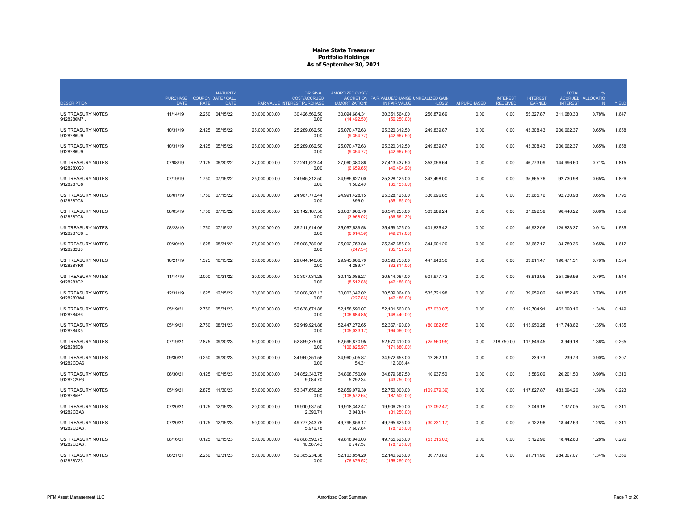| <b>DESCRIPTION</b>                     | PURCHASE COUPON DATE / CALL<br>DATE | <b>RATE</b> | <b>MATURITY</b><br><b>DATE</b> |               | <b>ORIGINAL</b><br>COST/ACCRUED<br>PAR VALUE INTEREST PURCHASE | <b>AMORTIZED COST/</b><br>(AMORTIZATION) | ACCRETION FAIR VALUE/CHANGE UNREALIZED GAIN<br>IN FAIR VALUE | (LOSS)        | AI PURCHASED | <b>INTEREST</b><br><b>RECEIVED</b> | <b>INTEREST</b><br>EARNED | <b>TOTAL</b><br><b>INTEREST</b> | ACCRUED ALLOCATIO<br>N | YIELD |
|----------------------------------------|-------------------------------------|-------------|--------------------------------|---------------|----------------------------------------------------------------|------------------------------------------|--------------------------------------------------------------|---------------|--------------|------------------------------------|---------------------------|---------------------------------|------------------------|-------|
| <b>US TREASURY NOTES</b><br>9128286M7. | 11/14/19                            | 2.250       | 04/15/22                       | 30,000,000.00 | 30,426,562.50<br>0.00                                          | 30,094,684.31<br>(14, 492.50)            | 30,351,564.00<br>(56, 250.00)                                | 256,879.69    | 0.00         | 0.00                               | 55,327.87                 | 311,680.33                      | 0.78%                  | 1.647 |
| US TREASURY NOTES<br>9128286U9         | 10/31/19                            | 2.125       | 05/15/22                       | 25,000,000.00 | 25,289,062.50<br>0.00                                          | 25,070,472.63<br>(9,354.77)              | 25,320,312.50<br>(42,967.50)                                 | 249,839.87    | 0.00         | 0.00                               | 43,308.43                 | 200,662.37                      | 0.65%                  | 1.658 |
| US TREASURY NOTES<br>9128286U9         | 10/31/19                            | 2.125       | 05/15/22                       | 25,000,000.00 | 25,289,062.50<br>0.00                                          | 25,070,472.63<br>(9,354.77)              | 25,320,312.50<br>(42,967.50)                                 | 249,839.87    | 0.00         | 0.00                               | 43,308.43                 | 200,662.37                      | 0.65%                  | 1.658 |
| <b>US TREASURY NOTES</b><br>912828XG0  | 07/08/19                            | 2.125       | 06/30/22                       | 27.000.000.00 | 27.241.523.44<br>0.00                                          | 27.060.380.86<br>(6,659.65)              | 27.413.437.50<br>(46, 404.90)                                | 353.056.64    | 0.00         | 0.00                               | 46.773.09                 | 144.996.60                      | 0.71%                  | 1.815 |
| <b>US TREASURY NOTES</b><br>9128287C8  | 07/19/19                            | 1.750       | 07/15/22                       | 25,000,000.00 | 24.945.312.50<br>0.00                                          | 24,985,627.00<br>1,502.40                | 25,328,125.00<br>(35, 155.00)                                | 342,498.00    | 0.00         | 0.00                               | 35.665.76                 | 92,730.98                       | 0.65%                  | 1.826 |
| <b>US TREASURY NOTES</b><br>9128287C8  | 08/01/19                            | 1.750       | 07/15/22                       | 25,000,000.00 | 24.967.773.44<br>0.00                                          | 24.991.428.15<br>896.01                  | 25,328,125.00<br>(35, 155.00)                                | 336,696.85    | 0.00         | 0.00                               | 35,665.76                 | 92,730.98                       | 0.65%                  | 1.795 |
| US TREASURY NOTES<br>9128287C8         | 08/05/19                            |             | 1.750 07/15/22                 | 26,000,000.00 | 26, 142, 187.50<br>0.00                                        | 26,037,960.76<br>(3,968.02)              | 26,341,250.00<br>(36, 561.20)                                | 303,289.24    | 0.00         | 0.00                               | 37,092.39                 | 96,440.22                       | 0.68%                  | 1.559 |
| US TREASURY NOTES<br>9128287C8         | 08/23/19                            | 1.750       | 07/15/22                       | 35,000,000.00 | 35,211,914.06<br>0.00                                          | 35,057,539.58<br>(6,014.59)              | 35,459,375.00<br>(49, 217.00)                                | 401,835.42    | 0.00         | 0.00                               | 49,932.06                 | 129,823.37                      | 0.91%                  | 1.535 |
| US TREASURY NOTES<br>9128282S8         | 09/30/19                            | 1.625       | 08/31/22                       | 25,000,000.00 | 25,008,789.06<br>0.00                                          | 25,002,753.80<br>(247.34)                | 25,347,655.00<br>(35, 157.50)                                | 344,901.20    | 0.00         | 0.00                               | 33,667.12                 | 34,789.36                       | 0.65%                  | 1.612 |
| <b>US TREASURY NOTES</b><br>912828YK0  | 10/21/19                            | 1.375       | 10/15/22                       | 30,000,000.00 | 29.844.140.63<br>0.00                                          | 29.945.806.70<br>4,289.71                | 30,393,750.00<br>(32,814.00)                                 | 447,943.30    | 0.00         | 0.00                               | 33.811.47                 | 190.471.31                      | 0.78%                  | 1.554 |
| <b>US TREASURY NOTES</b><br>9128283C2  | 11/14/19                            | 2.000       | 10/31/22                       | 30,000,000.00 | 30,307,031.25<br>0.00                                          | 30,112,086.27<br>(8,512.88)              | 30,614,064.00<br>(42, 186.00)                                | 501,977.73    | 0.00         | 0.00                               | 48,913.05                 | 251,086.96                      | 0.79%                  | 1.644 |
| US TREASURY NOTES<br>912828YW4         | 12/31/19                            | 1.625       | 12/15/22                       | 30,000,000.00 | 30,008,203.13<br>0.00                                          | 30,003,342.02<br>(227.86)                | 30,539,064.00<br>(42, 186.00)                                | 535,721.98    | 0.00         | 0.00                               | 39,959.02                 | 143,852.46                      | 0.79%                  | 1.615 |
| US TREASURY NOTES<br>9128284S6         | 05/19/21                            | 2.750       | 05/31/23                       | 50,000,000.00 | 52,638,671.88<br>0.00                                          | 52,158,590.07<br>(106, 684.85)           | 52,101,560.00<br>(148, 440.00)                               | (57,030.07)   | 0.00         | 0.00                               | 112,704.91                | 462,090.16                      | 1.34%                  | 0.149 |
| <b>US TREASURY NOTES</b><br>9128284X5  | 05/19/21                            | 2.750       | 08/31/23                       | 50,000,000.00 | 52,919,921.88<br>0.00                                          | 52,447,272.65<br>(105, 033.17)           | 52,367,190.00<br>(164,060.00)                                | (80,082.65)   | 0.00         | 0.00                               | 113,950.28                | 117,748.62                      | 1.35%                  | 0.185 |
| <b>US TREASURY NOTES</b><br>9128285D8  | 07/19/21                            | 2.875       | 09/30/23                       | 50,000,000.00 | 52,859,375.00<br>0.00                                          | 52,595,870.95<br>(106, 825.97)           | 52,570,310.00<br>(171,880.00)                                | (25,560.95)   | 0.00         | 718,750.00                         | 117,849.45                | 3,949.18                        | 1.36%                  | 0.265 |
| <b>US TREASURY NOTES</b><br>91282CDA6  | 09/30/21                            | 0.250       | 09/30/23                       | 35,000,000.00 | 34,960,351.56<br>0.00                                          | 34,960,405.87<br>54.31                   | 34,972,658.00<br>12,306.44                                   | 12,252.13     | 0.00         | 0.00                               | 239.73                    | 239.73                          | 0.90%                  | 0.307 |
| <b>US TREASURY NOTES</b><br>91282CAP6  | 06/30/21                            | 0.125       | 10/15/23                       | 35,000,000.00 | 34.852.343.75<br>9,084.70                                      | 34.868.750.00<br>5,292.34                | 34.879.687.50<br>(43,750.00)                                 | 10,937.50     | 0.00         | 0.00                               | 3.586.06                  | 20,201.50                       | 0.90%                  | 0.310 |
| <b>US TREASURY NOTES</b><br>9128285P1  | 05/19/21                            | 2.875       | 11/30/23                       | 50,000,000.00 | 53,347,656.25<br>0.00                                          | 52,859,079.39<br>(108, 572.64)           | 52,750,000.00<br>(187,500.00)                                | (109, 079.39) | 0.00         | 0.00                               | 117,827.87                | 483,094.26                      | 1.36%                  | 0.223 |
| <b>US TREASURY NOTES</b><br>91282CBA8  | 07/20/21                            | 0.125       | 12/15/23                       | 20,000,000.00 | 19,910,937.50<br>2,390.71                                      | 19,918,342.47<br>3,043.14                | 19,906,250.00<br>(31,250.00)                                 | (12,092.47)   | 0.00         | 0.00                               | 2,049.18                  | 7,377.05                        | 0.51%                  | 0.311 |
| <b>US TREASURY NOTES</b><br>91282CBA8  | 07/20/21                            | 0.125       | 12/15/23                       | 50,000,000.00 | 49,777,343.75<br>5,976.78                                      | 49,795,856.17<br>7,607.84                | 49,765,625.00<br>(78, 125.00)                                | (30, 231.17)  | 0.00         | 0.00                               | 5,122.96                  | 18,442.63                       | 1.28%                  | 0.311 |
| US TREASURY NOTES<br>91282CBA8         | 08/16/21                            | 0.125       | 12/15/23                       | 50,000,000.00 | 49,808,593.75<br>10,587.43                                     | 49,818,940.03<br>6.747.57                | 49,765,625.00<br>(78, 125.00)                                | (53,315.03)   | 0.00         | 0.00                               | 5,122.96                  | 18,442.63                       | 1.28%                  | 0.290 |
| US TREASURY NOTES<br>912828V23         | 06/21/21                            | 2.250       | 12/31/23                       | 50,000,000.00 | 52,365,234.38<br>0.00                                          | 52,103,854.20<br>(76, 876.52)            | 52,140,625.00<br>(156, 250.00)                               | 36,770.80     | 0.00         | 0.00                               | 91.711.96                 | 284,307.07                      | 1.34%                  | 0.366 |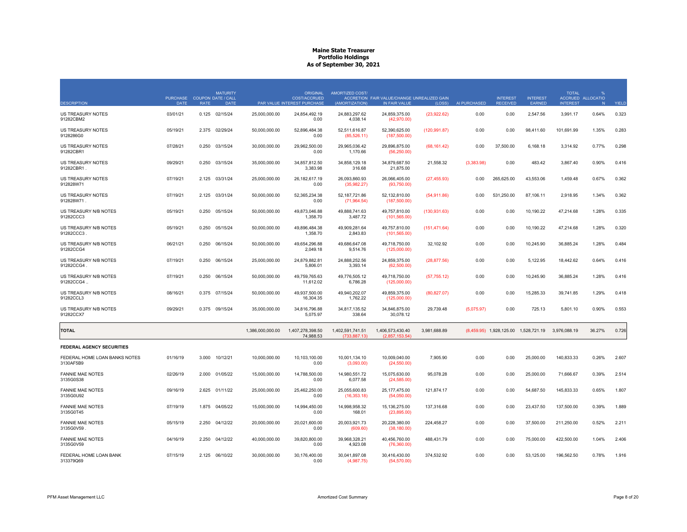| <b>DESCRIPTION</b>                         | PURCHASE COUPON DATE / CALL<br><b>DATE</b> | <b>RATE</b> | <b>MATURITY</b><br><b>DATE</b> |                  | <b>ORIGINAL</b><br><b>COST/ACCRUED</b><br>PAR VALUE INTEREST PURCHASE | <b>AMORTIZED COST/</b><br>(AMORTIZATION) | ACCRETION FAIR VALUE/CHANGE UNREALIZED GAIN<br>IN FAIR VALUE | (LOSS)        | AI PURCHASED | <b>INTEREST</b><br><b>RECEIVED</b> | <b>INTEREST</b><br>EARNED            | <b>TOTAL</b><br><b>INTEREST</b> | ACCRUED ALLOCATIO<br>N | <b>YIELD</b> |
|--------------------------------------------|--------------------------------------------|-------------|--------------------------------|------------------|-----------------------------------------------------------------------|------------------------------------------|--------------------------------------------------------------|---------------|--------------|------------------------------------|--------------------------------------|---------------------------------|------------------------|--------------|
| US TREASURY NOTES<br>91282CBM2             | 03/01/21                                   |             | 0.125 02/15/24                 | 25,000,000.00    | 24,854,492.19<br>0.00                                                 | 24,883,297.62<br>4,038.14                | 24,859,375.00<br>(42,970.00)                                 | (23,922.62)   | 0.00         | 0.00                               | 2,547.56                             | 3,991.17                        | 0.64%                  | 0.323        |
| <b>US TREASURY NOTES</b><br>9128286G0      | 05/19/21                                   | 2.375       | 02/29/24                       | 50,000,000.00    | 52,896,484.38<br>0.00                                                 | 52,511,616.87<br>(85,526.11)             | 52,390,625.00<br>(187,500.00)                                | (120, 991.87) | 0.00         | 0.00                               | 98,411.60                            | 101,691.99                      | 1.35%                  | 0.283        |
| US TREASURY NOTES<br>91282CBR1             | 07/28/21                                   | 0.250       | 03/15/24                       | 30,000,000.00    | 29,962,500.00<br>0.00                                                 | 29,965,036.42<br>1,170.66                | 29,896,875.00<br>(56, 250.00)                                | (68, 161.42)  | 0.00         | 37,500.00                          | 6,168.18                             | 3,314.92                        | 0.77%                  | 0.298        |
| US TREASURY NOTES<br>91282CBR1.            | 09/29/21                                   | 0.250       | 03/15/24                       | 35,000,000.00    | 34,857,812.50<br>3,383.98                                             | 34,858,129.18<br>316.68                  | 34,879,687.50<br>21,875.00                                   | 21,558.32     | (3,383.98)   | 0.00                               | 483.42                               | 3,867.40                        | 0.90%                  | 0.416        |
| <b>US TREASURY NOTES</b><br>912828W71      | 07/19/21                                   |             | 2.125 03/31/24                 | 25,000,000.00    | 26, 182, 617. 19<br>0.00                                              | 26.093.860.93<br>(35,982.27)             | 26.066.405.00<br>(93,750.00)                                 | (27, 455.93)  | 0.00         | 265.625.00                         | 43.553.06                            | 1.459.48                        | 0.67%                  | 0.362        |
| US TREASURY NOTES<br>912828W71.            | 07/19/21                                   | 2.125       | 03/31/24                       | 50,000,000.00    | 52,365,234.38<br>0.00                                                 | 52, 187, 721.86<br>(71,964.54)           | 52,132,810.00<br>(187,500.00)                                | (54, 911.86)  | 0.00         | 531,250.00                         | 87,106.11                            | 2,918.95                        | 1.34%                  | 0.362        |
| US TREASURY N/B NOTES<br>91282CCC3         | 05/19/21                                   |             | 0.250 05/15/24                 | 50,000,000.00    | 49,873,046.88<br>1,358.70                                             | 49.888.741.63<br>3,487.72                | 49,757,810.00<br>(101, 565.00)                               | (130, 931.63) | 0.00         | 0.00                               | 10,190.22                            | 47,214.68                       | 1.28%                  | 0.335        |
| US TREASURY N/B NOTES<br>91282CCC3         | 05/19/21                                   | 0.250       | 05/15/24                       | 50.000.000.00    | 49.896.484.38<br>1,358.70                                             | 49.909.281.64<br>2,843.83                | 49.757.810.00<br>(101, 565.00)                               | (151, 471.64) | 0.00         | 0.00                               | 10.190.22                            | 47.214.68                       | 1.28%                  | 0.320        |
| US TREASURY N/B NOTES<br>91282CCG4         | 06/21/21                                   | 0.250       | 06/15/24                       | 50,000,000.00    | 49,654,296.88<br>2,049.18                                             | 49,686,647.08<br>9,514.76                | 49,718,750.00<br>(125,000.00)                                | 32,102.92     | 0.00         | 0.00                               | 10,245.90                            | 36,885.24                       | 1.28%                  | 0.484        |
| US TREASURY N/B NOTES<br>91282CCG4         | 07/19/21                                   | 0.250       | 06/15/24                       | 25,000,000.00    | 24,879,882.81<br>5,806.01                                             | 24,888,252.56<br>3,393.14                | 24,859,375.00<br>(62,500.00)                                 | (28, 877.56)  | 0.00         | 0.00                               | 5,122.95                             | 18,442.62                       | 0.64%                  | 0.416        |
| US TREASURY N/B NOTES<br>91282CCG4         | 07/19/21                                   | 0.250       | 06/15/24                       | 50,000,000.00    | 49,759,765.63<br>11,612.02                                            | 49,776,505.12<br>6,786.28                | 49,718,750.00<br>(125,000.00)                                | (57, 755.12)  | 0.00         | 0.00                               | 10,245.90                            | 36,885.24                       | 1.28%                  | 0.416        |
| US TREASURY N/B NOTES<br>91282CCL3         | 08/16/21                                   |             | 0.375 07/15/24                 | 50,000,000.00    | 49,937,500.00<br>16,304.35                                            | 49,940,202.07<br>1,762.22                | 49,859,375.00<br>(125,000.00)                                | (80, 827.07)  | 0.00         | 0.00                               | 15,285.33                            | 39,741.85                       | 1.29%                  | 0.418        |
| US TREASURY N/B NOTES<br>91282CCX7         | 09/29/21                                   |             | 0.375 09/15/24                 | 35,000,000.00    | 34,816,796.88<br>5,075.97                                             | 34,817,135.52<br>338.64                  | 34,846,875.00<br>30,078.12                                   | 29,739.48     | (5,075.97)   | 0.00                               | 725.13                               | 5,801.10                        | 0.90%                  | 0.553        |
| <b>TOTAL</b>                               |                                            |             |                                | 1,386,000,000.00 | 1,407,278,398.50<br>74.988.53                                         | 1,402,591,741.51<br>(733.887.13)         | 1,406,573,430.40<br>(2.857.153.54)                           | 3,981,688.89  |              |                                    | (8,459.95) 1,928,125.00 1,528,721.19 | 3,976,088.19                    | 36.27%                 | 0.726        |
| <b>FEDERAL AGENCY SECURITIES</b>           |                                            |             |                                |                  |                                                                       |                                          |                                                              |               |              |                                    |                                      |                                 |                        |              |
| FEDERAL HOME LOAN BANKS NOTES<br>3130AF5B9 | 01/16/19                                   | 3.000       | 10/12/21                       | 10,000,000.00    | 10,103,100.00<br>0.00                                                 | 10,001,134.10<br>(3,093.00)              | 10,009,040.00<br>(24,550.00)                                 | 7,905.90      | 0.00         | 0.00                               | 25,000.00                            | 140,833.33                      | 0.26%                  | 2.607        |
| <b>FANNIE MAE NOTES</b><br>3135G0S38       | 02/26/19                                   | 2.000       | 01/05/22                       | 15,000,000.00    | 14,788,500.00<br>0.00                                                 | 14,980,551.72<br>6,077.58                | 15,075,630.00<br>(24, 585.00)                                | 95,078.28     | 0.00         | 0.00                               | 25,000.00                            | 71,666.67                       | 0.39%                  | 2.514        |
| <b>FANNIE MAE NOTES</b><br>3135G0U92       | 09/16/19                                   |             | 2.625 01/11/22                 | 25,000,000.00    | 25.462.250.00<br>0.00                                                 | 25.055.600.83<br>(16, 353.18)            | 25.177.475.00<br>(54,050.00)                                 | 121,874.17    | 0.00         | 0.00                               | 54,687.50                            | 145,833.33                      | 0.65%                  | 1.807        |
| <b>FANNIE MAE NOTES</b><br>3135G0T45       | 07/19/19                                   | 1.875       | 04/05/22                       | 15,000,000.00    | 14,994,450.00<br>0.00                                                 | 14,998,958.32<br>168.01                  | 15, 136, 275.00<br>(23,895.00)                               | 137,316.68    | 0.00         | 0.00                               | 23,437.50                            | 137,500.00                      | 0.39%                  | 1.889        |
| <b>FANNIE MAE NOTES</b><br>3135G0V59       | 05/15/19                                   | 2.250       | 04/12/22                       | 20,000,000.00    | 20,021,600.00<br>0.00                                                 | 20,003,921.73<br>(609.60)                | 20,228,380.00<br>(38, 180.00)                                | 224,458.27    | 0.00         | 0.00                               | 37,500.00                            | 211,250.00                      | 0.52%                  | 2.211        |
| <b>FANNIE MAE NOTES</b><br>3135G0V59       | 04/16/19                                   | 2.250       | 04/12/22                       | 40,000,000.00    | 39.820.800.00<br>0.00                                                 | 39,968,328.21<br>4,923.08                | 40,456,760.00<br>(76,360.00)                                 | 488,431.79    | 0.00         | 0.00                               | 75,000.00                            | 422,500.00                      | 1.04%                  | 2.406        |
| FEDERAL HOME LOAN BANK<br>313379Q69        | 07/15/19                                   |             | 2.125 06/10/22                 | 30,000,000.00    | 30,176,400.00<br>0.00                                                 | 30,041,897.08<br>(4.987.75)              | 30,416,430.00<br>(54, 570.00)                                | 374,532.92    | 0.00         | 0.00                               | 53,125.00                            | 196,562.50                      | 0.78%                  | 1.916        |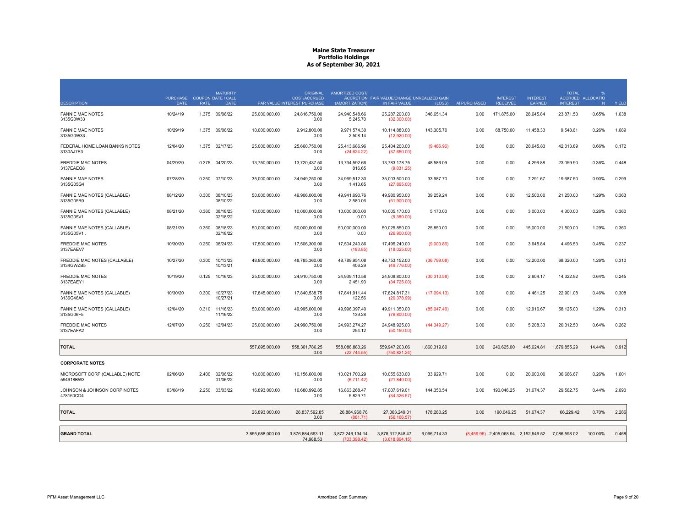| <b>DESCRIPTION</b>                          | PURCHASE COUPON DATE / CALL<br><b>DATE</b> | <b>RATE</b> | <b>MATURITY</b><br><b>DATE</b> |                  | <b>ORIGINAL</b><br><b>COST/ACCRUED</b><br>PAR VALUE INTEREST PURCHASE | AMORTIZED COST/<br>(AMORTIZATION) | ACCRETION FAIR VALUE/CHANGE UNREALIZED GAIN<br>IN FAIR VALUE | (LOSS)       | AI PURCHASED | <b>INTEREST</b><br><b>RECEIVED</b>                | <b>INTEREST</b><br>EARNED | <b>TOTAL</b><br><b>INTEREST</b> | %<br>ACCRUED ALLOCATIO<br>N | YIELD |
|---------------------------------------------|--------------------------------------------|-------------|--------------------------------|------------------|-----------------------------------------------------------------------|-----------------------------------|--------------------------------------------------------------|--------------|--------------|---------------------------------------------------|---------------------------|---------------------------------|-----------------------------|-------|
| <b>FANNIE MAE NOTES</b>                     | 10/24/19                                   | 1.375       | 09/06/22                       | 25,000,000.00    | 24,816,750.00                                                         | 24,940,548.66                     | 25,287,200.00                                                | 346,651.34   | 0.00         | 171,875.00                                        | 28,645.84                 | 23,871.53                       | 0.65%                       | 1.638 |
| 3135G0W33                                   |                                            |             |                                |                  | 0.00                                                                  | 5,245.70                          | (32,300.00)                                                  |              |              |                                                   |                           |                                 |                             |       |
| <b>FANNIE MAE NOTES</b><br>3135G0W33        | 10/29/19                                   | 1.375       | 09/06/22                       | 10,000,000.00    | 9,912,800.00<br>0.00                                                  | 9,971,574.30<br>2,508.14          | 10,114,880.00<br>(12,920.00)                                 | 143,305.70   | 0.00         | 68,750.00                                         | 11,458.33                 | 9,548.61                        | 0.26%                       | 1.689 |
| FEDERAL HOME LOAN BANKS NOTES<br>3130AJ7E3  | 12/04/20                                   | 1.375       | 02/17/23                       | 25.000.000.00    | 25.660.750.00<br>0.00                                                 | 25.413.686.96<br>(24, 624.22)     | 25.404.200.00<br>(37,650.00)                                 | (9,486.96)   | 0.00         | 0.00                                              | 28,645.83                 | 42.013.89                       | 0.66%                       | 0.172 |
| <b>FREDDIE MAC NOTES</b><br>3137EAEQ8       | 04/29/20                                   | 0.375       | 04/20/23                       | 13,750,000.00    | 13,720,437.50<br>0.00                                                 | 13,734,592.66<br>816.65           | 13,783,178.75<br>(9,831.25)                                  | 48,586.09    | 0.00         | 0.00                                              | 4,296.88                  | 23,059.90                       | 0.36%                       | 0.448 |
| <b>FANNIE MAE NOTES</b><br>3135G05G4        | 07/28/20                                   | 0.250       | 07/10/23                       | 35,000,000.00    | 34.949.250.00<br>0.00                                                 | 34.969.512.30<br>1,413.65         | 35.003.500.00<br>(27,895.00)                                 | 33,987.70    | 0.00         | 0.00                                              | 7,291.67                  | 19,687.50                       | 0.90%                       | 0.299 |
| FANNIE MAE NOTES (CALLABLE)<br>3135G05R0    | 08/12/20                                   | 0.300       | 08/10/23<br>08/10/22           | 50.000.000.00    | 49.906.000.00<br>0.00                                                 | 49.941.690.76<br>2,580.06         | 49,980,950.00<br>(51,900.00)                                 | 39,259.24    | 0.00         | 0.00                                              | 12,500.00                 | 21.250.00                       | 1.29%                       | 0.363 |
| FANNIE MAE NOTES (CALLABLE)<br>3135G05V1    | 08/21/20                                   | 0.360       | 08/18/23<br>02/18/22           | 10,000,000.00    | 10,000,000.00<br>0.00                                                 | 10,000,000.00<br>0.00             | 10,005,170.00<br>(5,380.00)                                  | 5,170.00     | 0.00         | 0.00                                              | 3,000.00                  | 4,300.00                        | 0.26%                       | 0.360 |
| FANNIE MAE NOTES (CALLABLE)<br>3135G05V1    | 08/21/20                                   | 0.360       | 08/18/23<br>02/18/22           | 50,000,000.00    | 50,000,000.00<br>0.00                                                 | 50,000,000.00<br>0.00             | 50,025,850.00<br>(26,900.00)                                 | 25,850.00    | 0.00         | 0.00                                              | 15,000.00                 | 21,500.00                       | 1.29%                       | 0.360 |
| <b>FREDDIE MAC NOTES</b><br>3137EAEV7       | 10/30/20                                   | 0.250       | 08/24/23                       | 17,500,000.00    | 17,506,300.00<br>0.00                                                 | 17,504,240.86<br>(183.85)         | 17,495,240.00<br>(18,025.00)                                 | (9,000.86)   | 0.00         | 0.00                                              | 3,645.84                  | 4,496.53                        | 0.45%                       | 0.237 |
| FREDDIE MAC NOTES (CALLABLE)<br>3134GWZB5   | 10/27/20                                   | 0.300       | 10/13/23<br>10/13/21           | 48,800,000.00    | 48,785,360.00<br>0.00                                                 | 48,789,951.08<br>406.29           | 48,753,152.00<br>(49,776.00)                                 | (36,799.08)  | 0.00         | 0.00                                              | 12,200.00                 | 68,320.00                       | 1.26%                       | 0.310 |
| <b>FREDDIE MAC NOTES</b><br>3137EAEY1       | 10/19/20                                   | 0.125       | 10/16/23                       | 25,000,000.00    | 24,910,750.00<br>0.00                                                 | 24,939,110.58<br>2,451.93         | 24,908,800.00<br>(34, 725.00)                                | (30, 310.58) | 0.00         | 0.00                                              | 2,604.17                  | 14,322.92                       | 0.64%                       | 0.245 |
| FANNIE MAE NOTES (CALLABLE)<br>3136G46A6    | 10/30/20                                   | 0.300       | 10/27/23<br>10/27/21           | 17.845.000.00    | 17.840.538.75<br>0.00                                                 | 17.841.911.44<br>122.56           | 17,824,817.31<br>(20, 378.99)                                | (17,094.13)  | 0.00         | 0.00                                              | 4.461.25                  | 22.901.08                       | 0.46%                       | 0.308 |
| FANNIE MAE NOTES (CALLABLE)<br>3135G06F5    | 12/04/20                                   |             | 0.310 11/16/23<br>11/16/22     | 50,000,000.00    | 49,995,000.00<br>0.00                                                 | 49,996,397.40<br>139.28           | 49,911,350.00<br>(76,800.00)                                 | (85,047.40)  | 0.00         | 0.00                                              | 12,916.67                 | 58,125.00                       | 1.29%                       | 0.313 |
| <b>FREDDIE MAC NOTES</b><br>3137EAFA2       | 12/07/20                                   | 0.250       | 12/04/23                       | 25,000,000.00    | 24.990.750.00<br>0.00                                                 | 24.993.274.27<br>254.12           | 24.948.925.00<br>(50, 150.00)                                | (44, 349.27) | 0.00         | 0.00                                              | 5.208.33                  | 20.312.50                       | 0.64%                       | 0.262 |
| <b>TOTAL</b>                                |                                            |             |                                | 557,895,000.00   | 558,361,786.25<br>0.00                                                | 558,086,883.26<br>(22.744.55)     | 559,947,203.06<br>(750, 821.24)                              | 1,860,319.80 | 0.00         | 240,625.00                                        | 445,624.81                | 1,679,855.29                    | 14.44%                      | 0.912 |
| <b>CORPORATE NOTES</b>                      |                                            |             |                                |                  |                                                                       |                                   |                                                              |              |              |                                                   |                           |                                 |                             |       |
| MICROSOFT CORP (CALLABLE) NOTE<br>594918BW3 | 02/06/20                                   | 2.400       | 02/06/22<br>01/06/22           | 10,000,000.00    | 10,156,600.00<br>0.00                                                 | 10,021,700.29<br>(6,711.42)       | 10,055,630.00<br>(21,840.00)                                 | 33,929.71    | 0.00         | 0.00                                              | 20,000.00                 | 36,666.67                       | 0.26%                       | 1.601 |
| JOHNSON & JOHNSON CORP NOTES<br>478160CD4   | 03/08/19                                   | 2.250       | 03/03/22                       | 16,893,000.00    | 16,680,992.85<br>0.00                                                 | 16,863,268.47<br>5,829.71         | 17,007,619.01<br>(34, 326.57)                                | 144,350.54   | 0.00         | 190,046.25                                        | 31,674.37                 | 29,562.75                       | 0.44%                       | 2.690 |
| <b>TOTAL</b>                                |                                            |             |                                | 26,893,000.00    | 26.837.592.85<br>0.00                                                 | 26,884,968.76<br>(881.71)         | 27,063,249.01<br>(56.166.57)                                 | 178,280.25   | 0.00         | 190,046.25                                        | 51,674.37                 | 66,229.42                       | 0.70%                       | 2.286 |
| <b>GRAND TOTAL</b>                          |                                            |             |                                | 3,855,588,000.00 | 3,876,884,663.11<br>74.988.53                                         | 3,872,246,134.14<br>(703.398.42)  | 3,878,312,848.47<br>(3.618.894.15)                           | 6,066,714.33 |              | (8,459.95) 2,405,068.94 2,152,546.52 7,086,598.02 |                           |                                 | 100.00%                     | 0.468 |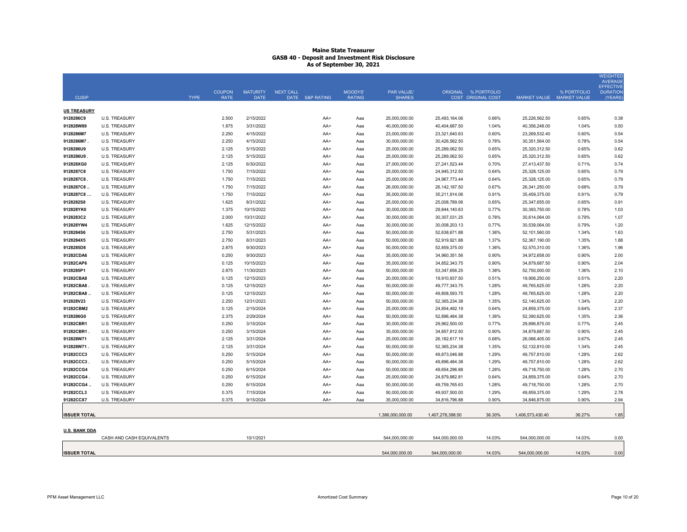|                      |                           |             |               |                 |                  |                                 |                  |                  |                                            |                  |                           | <b>WEIGHTED</b><br><b>AVERAGE</b> |
|----------------------|---------------------------|-------------|---------------|-----------------|------------------|---------------------------------|------------------|------------------|--------------------------------------------|------------------|---------------------------|-----------------------------------|
|                      |                           |             | <b>COUPON</b> | <b>MATURITY</b> | <b>NEXT CALL</b> |                                 | PAR VALUE/       |                  |                                            |                  | % PORTFOLIO               | <b>EFFECTIVE</b>                  |
| <b>CUSIP</b>         |                           | <b>TYPE</b> | <b>RATE</b>   | <b>DATE</b>     | DATE S&P RATING  | <b>MOODYS'</b><br><b>RATING</b> | <b>SHARES</b>    |                  | ORIGINAL % PORTFOLIO<br>COST ORIGINAL COST |                  | MARKET VALUE MARKET VALUE | <b>DURATION</b><br>(YEARS)        |
|                      |                           |             |               |                 |                  |                                 |                  |                  |                                            |                  |                           |                                   |
| <b>US TREASURY</b>   |                           |             |               |                 |                  |                                 |                  |                  |                                            |                  |                           |                                   |
| 9128286C9            | <b>U.S. TREASURY</b>      |             | 2.500         | 2/15/2022       | AA+              | Aaa                             | 25,000,000.00    | 25,493,164.06    | 0.66%                                      | 25,226,562.50    | 0.65%                     | 0.38                              |
| 912828W89            | U.S. TREASURY             |             | 1.875         | 3/31/2022       | AA+              | Ааа                             | 40,000,000.00    | 40,404,687.50    | 1.04%                                      | 40,356,248.00    | 1.04%                     | 0.50                              |
| 9128286M7            | <b>U.S. TREASURY</b>      |             | 2.250         | 4/15/2022       | AA+              | Ааа                             | 23,000,000.00    | 23,321,640.63    | 0.60%                                      | 23,269,532.40    | 0.60%                     | 0.54                              |
| 9128286M7            | <b>U.S. TREASURY</b>      |             | 2.250         | 4/15/2022       | AA+              | Aaa                             | 30,000,000.00    | 30,426,562.50    | 0.78%                                      | 30,351,564.00    | 0.78%                     | 0.54                              |
| 9128286U9            | <b>U.S. TREASURY</b>      |             | 2.125         | 5/15/2022       | AA+              | Ааа                             | 25,000,000.00    | 25,289,062.50    | 0.65%                                      | 25,320,312.50    | 0.65%                     | 0.62                              |
| 9128286U9            | U.S. TREASURY             |             | 2.125         | 5/15/2022       | AA+              | Ааа                             | 25,000,000.00    | 25,289,062.50    | 0.65%                                      | 25,320,312.50    | 0.65%                     | 0.62                              |
| 912828XG0            | <b>U.S. TREASURY</b>      |             | 2.125         | 6/30/2022       | AA+              | Ааа                             | 27,000,000.00    | 27,241,523.44    | 0.70%                                      | 27,413,437.50    | 0.71%                     | 0.74                              |
| 9128287C8            | U.S. TREASURY             |             | 1.750         | 7/15/2022       | AA+              | Aaa                             | 25,000,000.00    | 24,945,312.50    | 0.64%                                      | 25,328,125.00    | 0.65%                     | 0.79                              |
| 9128287C8            | <b>U.S. TREASURY</b>      |             | 1.750         | 7/15/2022       | AA+              | Ааа                             | 25,000,000.00    | 24,967,773.44    | 0.64%                                      | 25,328,125.00    | 0.65%                     | 0.79                              |
| 9128287C8.           | <b>U.S. TREASURY</b>      |             | 1.750         | 7/15/2022       | AA+              | Ааа                             | 26,000,000.00    | 26, 142, 187.50  | 0.67%                                      | 26,341,250.00    | 0.68%                     | 0.79                              |
| 9128287C8            | <b>U.S. TREASURY</b>      |             | 1.750         | 7/15/2022       | $AA+$            | Aaa                             | 35,000,000.00    | 35,211,914.06    | 0.91%                                      | 35,459,375.00    | 0.91%                     | 0.79                              |
| 9128282S8            | <b>U.S. TREASURY</b>      |             | 1.625         | 8/31/2022       | AA+              | Aaa                             | 25,000,000.00    | 25,008,789.06    | 0.65%                                      | 25,347,655.00    | 0.65%                     | 0.91                              |
| 912828YK0            | <b>U.S. TREASURY</b>      |             | 1.375         | 10/15/2022      | AA+              | Ааа                             | 30,000,000.00    | 29,844,140.63    | 0.77%                                      | 30,393,750.00    | 0.78%                     | 1.03                              |
| 9128283C2            | <b>U.S. TREASURY</b>      |             | 2.000         | 10/31/2022      | AA+              | Ааа                             | 30,000,000.00    | 30,307,031.25    | 0.78%                                      | 30,614,064.00    | 0.79%                     | 1.07                              |
| 912828YW4            | <b>U.S. TREASURY</b>      |             | 1.625         | 12/15/2022      | AA+              | Ааа                             | 30,000,000.00    | 30,008,203.13    | 0.77%                                      | 30,539,064.00    | 0.79%                     | 1.20                              |
| 9128284S6            | <b>U.S. TREASURY</b>      |             | 2.750         | 5/31/2023       | $AA+$            | Aaa                             | 50,000,000.00    | 52,638,671.88    | 1.36%                                      | 52,101,560.00    | 1.34%                     | 1.63                              |
| 9128284X5            | <b>U.S. TREASURY</b>      |             | 2.750         | 8/31/2023       | AA+              | Ааа                             | 50,000,000.00    | 52,919,921.88    | 1.37%                                      | 52,367,190.00    | 1.35%                     | 1.88                              |
| 9128285D8            | <b>U.S. TREASURY</b>      |             | 2.875         | 9/30/2023       | AA+              | Aaa                             | 50,000,000.00    | 52,859,375.00    | 1.36%                                      | 52,570,310.00    | 1.36%                     | 1.96                              |
| 91282CDA6            | <b>U.S. TREASURY</b>      |             | 0.250         | 9/30/2023       | AA+              | Aaa                             | 35,000,000.00    | 34,960,351.56    | 0.90%                                      | 34,972,658.00    | 0.90%                     | 2.00                              |
| 91282CAP6            | U.S. TREASURY             |             | 0.125         | 10/15/2023      | AA+              | Ааа                             | 35,000,000.00    | 34,852,343.75    | 0.90%                                      | 34,879,687.50    | 0.90%                     | 2.04                              |
| 9128285P1            | <b>U.S. TREASURY</b>      |             | 2.875         | 11/30/2023      | AA+              | Aaa                             | 50,000,000.00    | 53,347,656.25    | 1.38%                                      | 52,750,000.00    | 1.36%                     | 2.10                              |
| 91282CBA8            | <b>U.S. TREASURY</b>      |             | 0.125         | 12/15/2023      | AA+              | Ааа                             | 20,000,000.00    | 19,910,937.50    | 0.51%                                      | 19,906,250.00    | 0.51%                     | 2.20                              |
| 91282CBA8            | <b>U.S. TREASURY</b>      |             | 0.125         | 12/15/2023      | AA+              | Aaa                             | 50,000,000.00    | 49,777,343.75    | 1.28%                                      | 49,765,625.00    | 1.28%                     | 2.20                              |
| 91282CBA8.           | <b>U.S. TREASURY</b>      |             | 0.125         | 12/15/2023      | AA+              | Ааа                             | 50,000,000.00    | 49,808,593.75    | 1.28%                                      | 49,765,625.00    | 1.28%                     | 2.20                              |
| 912828V23            | <b>U.S. TREASURY</b>      |             | 2.250         | 12/31/2023      | AA+              | Ааа                             | 50,000,000.00    | 52, 365, 234. 38 | 1.35%                                      | 52,140,625.00    | 1.34%                     | 2.20                              |
| 91282CBM2            | <b>U.S. TREASURY</b>      |             | 0.125         | 2/15/2024       | AA+              | Ааа                             | 25,000,000.00    | 24,854,492.19    | 0.64%                                      | 24,859,375.00    | 0.64%                     | 2.37                              |
| 9128286G0            | <b>U.S. TREASURY</b>      |             | 2.375         | 2/29/2024       | AA+              | Aaa                             | 50,000,000.00    | 52,896,484.38    | 1.36%                                      | 52,390,625.00    | 1.35%                     | 2.36                              |
| 91282CBR1            | <b>U.S. TREASURY</b>      |             | 0.250         | 3/15/2024       | AA+              | Ааа                             | 30,000,000.00    | 29,962,500.00    | 0.77%                                      | 29,896,875.00    | 0.77%                     | 2.45                              |
| 91282CBR1            | <b>U.S. TREASURY</b>      |             | 0.250         | 3/15/2024       | AA+              | Ааа                             | 35,000,000.00    | 34,857,812.50    | 0.90%                                      | 34,879,687.50    | 0.90%                     | 2.45                              |
| 912828W71            | <b>U.S. TREASURY</b>      |             | 2.125         | 3/31/2024       | $AA+$            | Ааа                             | 25,000,000.00    | 26, 182, 617. 19 | 0.68%                                      | 26,066,405.00    | 0.67%                     | 2.45                              |
| 912828W71.           | <b>U.S. TREASURY</b>      |             | 2.125         | 3/31/2024       | AA+              | Ааа                             | 50,000,000.00    | 52,365,234.38    | 1.35%                                      | 52,132,810.00    | 1.34%                     | 2.45                              |
| 91282CCC3            | <b>U.S. TREASURY</b>      |             | 0.250         | 5/15/2024       | $AA+$            | Ааа                             | 50,000,000.00    | 49,873,046.88    | 1.29%                                      | 49,757,810.00    | 1.28%                     | 2.62                              |
| 91282CCC3.           | <b>U.S. TREASURY</b>      |             | 0.250         | 5/15/2024       | $AA+$            | Aaa                             | 50,000,000.00    | 49,896,484.38    | 1.29%                                      | 49,757,810.00    | 1.28%                     | 2.62                              |
| 91282CCG4            | <b>U.S. TREASURY</b>      |             | 0.250         | 6/15/2024       | $AA+$            | Ааа                             | 50,000,000.00    | 49,654,296.88    | 1.28%                                      | 49,718,750.00    | 1.28%                     | 2.70                              |
| 91282CCG4.           | <b>U.S. TREASURY</b>      |             | 0.250         | 6/15/2024       | $AA+$            | Aaa                             | 25,000,000.00    | 24,879,882.81    | 0.64%                                      | 24,859,375.00    | 0.64%                     | 2.70                              |
| 91282CCG4.           | <b>U.S. TREASURY</b>      |             | 0.250         | 6/15/2024       | AA+              | Aaa                             | 50.000.000.00    | 49,759,765.63    | 1.28%                                      | 49,718,750.00    | 1.28%                     | 2.70                              |
| 91282CCL3            | <b>U.S. TREASURY</b>      |             | 0.375         | 7/15/2024       | AA+              | Aaa                             | 50,000,000.00    | 49,937,500.00    | 1.29%                                      | 49,859,375.00    | 1.29%                     | 2.78                              |
| 91282CCX7            | <b>U.S. TREASURY</b>      |             | 0.375         | 9/15/2024       | AA+              | Aaa                             | 35,000,000.00    | 34,816,796.88    | 0.90%                                      | 34,846,875.00    | 0.90%                     | 2.94                              |
|                      |                           |             |               |                 |                  |                                 |                  |                  |                                            |                  |                           |                                   |
| <b>ISSUER TOTAL</b>  |                           |             |               |                 |                  |                                 | 1,386,000,000.00 | 1,407,278,398.50 | 36.30%                                     | 1,406,573,430.40 | 36.27%                    | 1.85                              |
| <b>U.S. BANK DDA</b> |                           |             |               |                 |                  |                                 |                  |                  |                                            |                  |                           |                                   |
|                      | CASH AND CASH EQUIVALENTS |             |               | 10/1/2021       |                  |                                 | 544.000.000.00   | 544.000.000.00   | 14.03%                                     | 544.000.000.00   | 14.03%                    | 0.00                              |
|                      |                           |             |               |                 |                  |                                 |                  |                  |                                            |                  |                           |                                   |
| <b>ISSUER TOTAL</b>  |                           |             |               |                 |                  |                                 | 544,000,000.00   | 544,000,000.00   | 14.03%                                     | 544,000,000.00   | 14.03%                    | 0.00                              |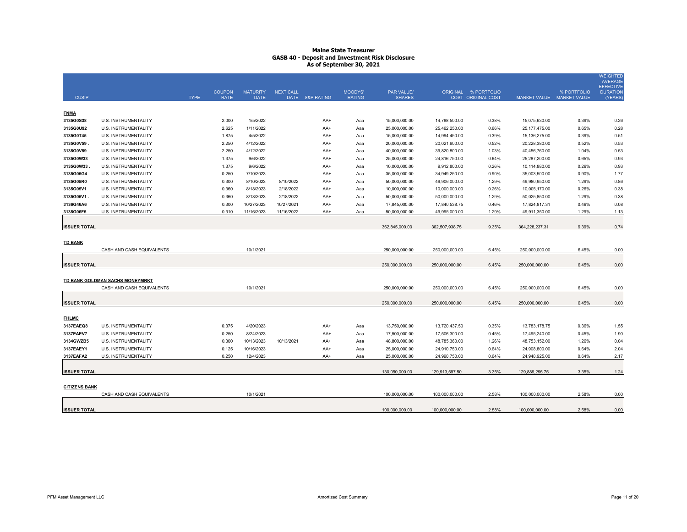| <b>CUSIP</b>         |                                 | <b>TYPE</b> | <b>COUPON</b><br><b>RATE</b> | <b>MATURITY</b><br><b>DATE</b> | <b>NEXT CALL</b> | DATE S&P RATING | MOODYS'<br><b>RATING</b> | PAR VALUE/<br><b>SHARES</b> |                | ORIGINAL % PORTFOLIO<br><b>COST ORIGINAL COST</b> | MARKET VALUE MARKET VALUE | % PORTFOLIO | <b>WEIGHTED</b><br><b>AVERAGE</b><br><b>EFFECTIVE</b><br><b>DURATION</b><br>(YEARS) |
|----------------------|---------------------------------|-------------|------------------------------|--------------------------------|------------------|-----------------|--------------------------|-----------------------------|----------------|---------------------------------------------------|---------------------------|-------------|-------------------------------------------------------------------------------------|
| <b>FNMA</b>          |                                 |             |                              |                                |                  |                 |                          |                             |                |                                                   |                           |             |                                                                                     |
| 3135G0S38            | U.S. INSTRUMENTALITY            |             | 2.000                        | 1/5/2022                       |                  | AA+             | Aaa                      | 15,000,000.00               | 14,788,500.00  | 0.38%                                             | 15,075,630.00             | 0.39%       | 0.26                                                                                |
| 3135G0U92            | U.S. INSTRUMENTALITY            |             | 2.625                        | 1/11/2022                      |                  | AA+             | Aaa                      | 25,000,000.00               | 25,462,250.00  | 0.66%                                             | 25, 177, 475.00           | 0.65%       | 0.28                                                                                |
| 3135G0T45            | U.S. INSTRUMENTALITY            |             | 1.875                        | 4/5/2022                       |                  | AA+             | Aaa                      | 15,000,000.00               | 14,994,450.00  | 0.39%                                             | 15, 136, 275.00           | 0.39%       | 0.51                                                                                |
| 3135G0V59            | U.S. INSTRUMENTALITY            |             | 2.250                        | 4/12/2022                      |                  | AA+             | Aaa                      | 20,000,000.00               | 20,021,600.00  | 0.52%                                             | 20,228,380.00             | 0.52%       | 0.53                                                                                |
| 3135G0V59            | <b>U.S. INSTRUMENTALITY</b>     |             | 2.250                        | 4/12/2022                      |                  | AA+             | Aaa                      | 40,000,000.00               | 39,820,800.00  | 1.03%                                             | 40,456,760.00             | 1.04%       | 0.53                                                                                |
| 3135G0W33            | U.S. INSTRUMENTALITY            |             | 1.375                        | 9/6/2022                       |                  | AA+             | Aaa                      | 25,000,000.00               | 24,816,750.00  | 0.64%                                             | 25,287,200.00             | 0.65%       | 0.93                                                                                |
| 3135G0W33            | U.S. INSTRUMENTALITY            |             | 1.375                        | 9/6/2022                       |                  | AA+             | Aaa                      | 10,000,000.00               | 9,912,800.00   | 0.26%                                             | 10,114,880.00             | 0.26%       | 0.93                                                                                |
| 3135G05G4            | U.S. INSTRUMENTALITY            |             | 0.250                        | 7/10/2023                      |                  | AA+             | Aaa                      | 35,000,000.00               | 34,949,250.00  | 0.90%                                             | 35,003,500.00             | 0.90%       | 1.77                                                                                |
| 3135G05R0            | U.S. INSTRUMENTALITY            |             | 0.300                        | 8/10/2023                      | 8/10/2022        | AA+             | Aaa                      | 50,000,000.00               | 49,906,000.00  | 1.29%                                             | 49,980,950.00             | 1.29%       | 0.86                                                                                |
| 3135G05V1            | U.S. INSTRUMENTALITY            |             | 0.360                        | 8/18/2023                      | 2/18/2022        | AA+             | Aaa                      | 10,000,000.00               | 10,000,000.00  | 0.26%                                             | 10,005,170.00             | 0.26%       | 0.38                                                                                |
| 3135G05V1            | U.S. INSTRUMENTALITY            |             | 0.360                        | 8/18/2023                      | 2/18/2022        | AA+             | Aaa                      | 50,000,000.00               | 50,000,000.00  | 1.29%                                             | 50,025,850.00             | 1.29%       | 0.38                                                                                |
| 3136G46A6            | U.S. INSTRUMENTALITY            |             | 0.300                        | 10/27/2023                     | 10/27/2021       | AA+             | Aaa                      | 17,845,000.00               | 17,840,538.75  | 0.46%                                             | 17,824,817.31             | 0.46%       | 0.08                                                                                |
| 3135G06F5            | U.S. INSTRUMENTALITY            |             | 0.310                        | 11/16/2023                     | 11/16/2022       | AA+             | Aaa                      | 50,000,000.00               | 49,995,000.00  | 1.29%                                             | 49,911,350.00             | 1.29%       | 1.13                                                                                |
| <b>ISSUER TOTAL</b>  |                                 |             |                              |                                |                  |                 |                          | 362,845,000.00              | 362,507,938.75 | 9.35%                                             | 364,228,237.31            | 9.39%       | 0.74                                                                                |
|                      |                                 |             |                              |                                |                  |                 |                          |                             |                |                                                   |                           |             |                                                                                     |
| <b>TD BANK</b>       |                                 |             |                              |                                |                  |                 |                          |                             |                |                                                   |                           |             |                                                                                     |
|                      | CASH AND CASH EQUIVALENTS       |             |                              | 10/1/2021                      |                  |                 |                          | 250,000,000.00              | 250,000,000.00 | 6.45%                                             | 250,000,000.00            | 6.45%       | 0.00                                                                                |
|                      |                                 |             |                              |                                |                  |                 |                          |                             |                |                                                   |                           |             |                                                                                     |
| <b>ISSUER TOTAL</b>  |                                 |             |                              |                                |                  |                 |                          | 250,000,000.00              | 250,000,000.00 | 6.45%                                             | 250,000,000.00            | 6.45%       | 0.00                                                                                |
|                      |                                 |             |                              |                                |                  |                 |                          |                             |                |                                                   |                           |             |                                                                                     |
|                      | TD BANK GOLDMAN SACHS MONEYMRKT |             |                              |                                |                  |                 |                          |                             |                |                                                   |                           |             |                                                                                     |
|                      | CASH AND CASH EQUIVALENTS       |             |                              | 10/1/2021                      |                  |                 |                          | 250.000.000.00              | 250.000.000.00 | 6.45%                                             | 250.000.000.00            | 6.45%       | 0.00                                                                                |
|                      |                                 |             |                              |                                |                  |                 |                          |                             |                |                                                   |                           |             |                                                                                     |
| <b>ISSUER TOTAL</b>  |                                 |             |                              |                                |                  |                 |                          | 250.000.000.00              | 250,000,000.00 | 6.45%                                             | 250,000,000.00            | 6.45%       | 0.00                                                                                |
|                      |                                 |             |                              |                                |                  |                 |                          |                             |                |                                                   |                           |             |                                                                                     |
| <b>FHLMC</b>         |                                 |             |                              |                                |                  |                 |                          |                             |                |                                                   |                           |             |                                                                                     |
| 3137EAEQ8            | U.S. INSTRUMENTALITY            |             | 0.375                        | 4/20/2023                      |                  | AA+             | Aaa                      | 13,750,000.00               | 13,720,437.50  | 0.35%                                             | 13,783,178.75             | 0.36%       | 1.55                                                                                |
| 3137EAEV7            | U.S. INSTRUMENTALITY            |             | 0.250                        | 8/24/2023                      |                  | AA+             | Aaa                      | 17,500,000.00               | 17,506,300.00  | 0.45%                                             | 17,495,240.00             | 0.45%       | 1.90                                                                                |
| 3134GWZB5            | U.S. INSTRUMENTALITY            |             | 0.300                        | 10/13/2023                     | 10/13/2021       | AA+             | Aaa                      | 48,800,000.00               | 48,785,360.00  | 1.26%                                             | 48,753,152.00             | 1.26%       | 0.04                                                                                |
| 3137EAEY1            | U.S. INSTRUMENTALITY            |             | 0.125                        | 10/16/2023                     |                  | AA+             | Aaa                      | 25,000,000.00               | 24,910,750.00  | 0.64%                                             | 24,908,800.00             | 0.64%       | 2.04                                                                                |
| 3137EAFA2            | U.S. INSTRUMENTALITY            |             | 0.250                        | 12/4/2023                      |                  | AA+             | Aaa                      | 25.000.000.00               | 24.990.750.00  | 0.64%                                             | 24,948,925.00             | 0.64%       | 2.17                                                                                |
| <b>ISSUER TOTAL</b>  |                                 |             |                              |                                |                  |                 |                          | 130,050,000.00              | 129,913,597.50 | 3.35%                                             | 129,889,295.75            | 3.35%       | 1.24                                                                                |
|                      |                                 |             |                              |                                |                  |                 |                          |                             |                |                                                   |                           |             |                                                                                     |
| <b>CITIZENS BANK</b> |                                 |             |                              |                                |                  |                 |                          |                             |                |                                                   |                           |             |                                                                                     |
|                      | CASH AND CASH EQUIVALENTS       |             |                              | 10/1/2021                      |                  |                 |                          | 100,000,000.00              | 100,000,000.00 | 2.58%                                             | 100,000,000.00            | 2.58%       | 0.00                                                                                |
|                      |                                 |             |                              |                                |                  |                 |                          |                             |                |                                                   |                           |             |                                                                                     |
| <b>ISSUER TOTAL</b>  |                                 |             |                              |                                |                  |                 |                          | 100,000,000.00              | 100,000,000.00 | 2.58%                                             | 100,000,000.00            | 2.58%       | 0.00                                                                                |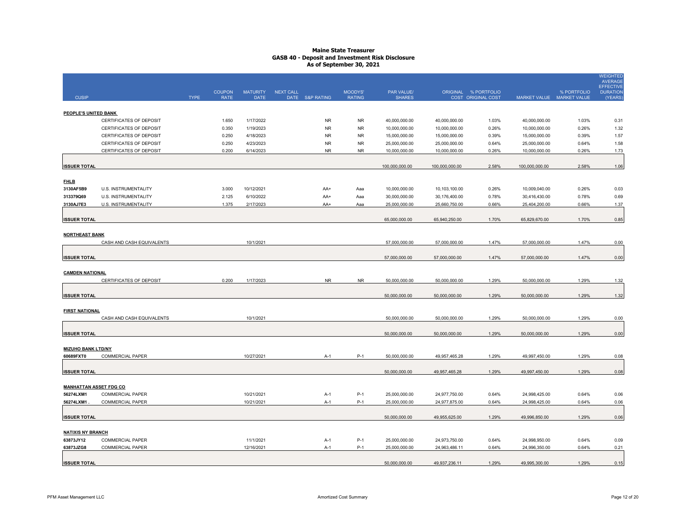|                                            |                                                    |             |                              |                         |                                     |                          |                                |                                |                                            |                                |                                          | <b>WEIGHTED</b><br><b>AVERAGE</b>              |
|--------------------------------------------|----------------------------------------------------|-------------|------------------------------|-------------------------|-------------------------------------|--------------------------|--------------------------------|--------------------------------|--------------------------------------------|--------------------------------|------------------------------------------|------------------------------------------------|
| <b>CUSIP</b>                               |                                                    | <b>TYPE</b> | <b>COUPON</b><br><b>RATE</b> | <b>MATURITY</b><br>DATE | <b>NEXT CALL</b><br>DATE S&P RATING | MOODYS'<br><b>RATING</b> | PAR VALUE/<br><b>SHARES</b>    |                                | ORIGINAL % PORTFOLIO<br>COST ORIGINAL COST |                                | % PORTFOLIO<br>MARKET VALUE MARKET VALUE | <b>EFFECTIVE</b><br><b>DURATION</b><br>(YEARS) |
|                                            |                                                    |             |                              |                         |                                     |                          |                                |                                |                                            |                                |                                          |                                                |
| PEOPLE'S UNITED BANK                       |                                                    |             |                              |                         | <b>NR</b>                           |                          |                                |                                |                                            |                                |                                          |                                                |
|                                            | CERTIFICATES OF DEPOSIT                            |             | 1.650                        | 1/17/2022               |                                     | <b>NR</b>                | 40,000,000.00                  | 40,000,000.00                  | 1.03%                                      | 40,000,000.00                  | 1.03%                                    | 0.31                                           |
|                                            | CERTIFICATES OF DEPOSIT<br>CERTIFICATES OF DEPOSIT |             | 0.350<br>0.250               | 1/19/2023<br>4/18/2023  | <b>NR</b><br><b>NR</b>              | <b>NR</b><br><b>NR</b>   | 10,000,000.00<br>15,000,000.00 | 10,000,000.00<br>15,000,000.00 | 0.26%<br>0.39%                             | 10,000,000.00<br>15,000,000.00 | 0.26%<br>0.39%                           | 1.32<br>1.57                                   |
|                                            | CERTIFICATES OF DEPOSIT                            |             | 0.250                        | 4/23/2023               | ${\sf NR}$                          | <b>NR</b>                | 25,000,000.00                  | 25,000,000.00                  | 0.64%                                      | 25,000,000.00                  | 0.64%                                    | 1.58                                           |
|                                            | CERTIFICATES OF DEPOSIT                            |             | 0.200                        | 6/14/2023               | ${\sf NR}$                          | <b>NR</b>                | 10,000,000.00                  | 10,000,000.00                  | 0.26%                                      | 10,000,000.00                  | 0.26%                                    | 1.73                                           |
|                                            |                                                    |             |                              |                         |                                     |                          |                                |                                |                                            |                                |                                          |                                                |
| <b>ISSUER TOTAL</b>                        |                                                    |             |                              |                         |                                     |                          | 100,000,000.00                 | 100,000,000.00                 | 2.58%                                      | 100,000,000.00                 | 2.58%                                    | 1.06                                           |
| <b>FHLB</b>                                |                                                    |             |                              |                         |                                     |                          |                                |                                |                                            |                                |                                          |                                                |
| 3130AF5B9                                  | U.S. INSTRUMENTALITY                               |             | 3.000                        | 10/12/2021              | AA+                                 | Aaa                      | 10,000,000.00                  | 10,103,100.00                  | 0.26%                                      | 10,009,040.00                  | 0.26%                                    | 0.03                                           |
| 313379Q69                                  | U.S. INSTRUMENTALITY                               |             | 2.125                        | 6/10/2022               | AA+                                 | Aaa                      | 30,000,000.00                  | 30,176,400.00                  | 0.78%                                      | 30,416,430.00                  | 0.78%                                    | 0.69                                           |
| 3130AJ7E3                                  | U.S. INSTRUMENTALITY                               |             | 1.375                        | 2/17/2023               | AA+                                 | Aaa                      | 25,000,000.00                  | 25,660,750.00                  | 0.66%                                      | 25,404,200.00                  | 0.66%                                    | 1.37                                           |
| <b>ISSUER TOTAL</b>                        |                                                    |             |                              |                         |                                     |                          | 65,000,000.00                  | 65,940,250.00                  | 1.70%                                      | 65,829,670.00                  | 1.70%                                    | 0.85                                           |
| <b>NORTHEAST BANK</b>                      |                                                    |             |                              |                         |                                     |                          |                                |                                |                                            |                                |                                          |                                                |
|                                            | CASH AND CASH EQUIVALENTS                          |             |                              | 10/1/2021               |                                     |                          | 57,000,000.00                  | 57,000,000.00                  | 1.47%                                      | 57,000,000.00                  | 1.47%                                    | 0.00                                           |
| <b>ISSUER TOTAL</b>                        |                                                    |             |                              |                         |                                     |                          | 57,000,000.00                  | 57,000,000.00                  | 1.47%                                      | 57,000,000.00                  | 1.47%                                    | 0.00                                           |
| <b>CAMDEN NATIONAL</b>                     |                                                    |             |                              |                         |                                     |                          |                                |                                |                                            |                                |                                          |                                                |
|                                            | CERTIFICATES OF DEPOSIT                            |             | 0.200                        | 1/17/2023               | <b>NR</b>                           | <b>NR</b>                | 50,000,000.00                  | 50,000,000.00                  | 1.29%                                      | 50,000,000.00                  | 1.29%                                    | 1.32                                           |
|                                            |                                                    |             |                              |                         |                                     |                          |                                |                                |                                            |                                |                                          |                                                |
| <b>ISSUER TOTAL</b>                        |                                                    |             |                              |                         |                                     |                          | 50,000,000.00                  | 50,000,000.00                  | 1.29%                                      | 50,000,000.00                  | 1.29%                                    | 1.32                                           |
| <b>FIRST NATIONAL</b>                      |                                                    |             |                              |                         |                                     |                          |                                |                                |                                            |                                |                                          |                                                |
|                                            | CASH AND CASH EQUIVALENTS                          |             |                              | 10/1/2021               |                                     |                          | 50,000,000.00                  | 50,000,000.00                  | 1.29%                                      | 50,000,000.00                  | 1.29%                                    | 0.00                                           |
| <b>ISSUER TOTAL</b>                        |                                                    |             |                              |                         |                                     |                          | 50,000,000.00                  | 50,000,000.00                  | 1.29%                                      | 50,000,000.00                  | 1.29%                                    | 0.00                                           |
| <b>MIZUHO BANK LTD/NY</b>                  |                                                    |             |                              |                         |                                     |                          |                                |                                |                                            |                                |                                          |                                                |
| 60689FXT0                                  | <b>COMMERCIAL PAPER</b>                            |             |                              | 10/27/2021              | $A-1$                               | $P-1$                    | 50.000.000.00                  | 49,957,465.28                  | 1.29%                                      | 49,997,450.00                  | 1.29%                                    | 0.08                                           |
| <b>ISSUER TOTAL</b>                        |                                                    |             |                              |                         |                                     |                          | 50,000,000.00                  | 49,957,465.28                  | 1.29%                                      | 49,997,450.00                  | 1.29%                                    | 0.08                                           |
|                                            |                                                    |             |                              |                         |                                     |                          |                                |                                |                                            |                                |                                          |                                                |
| <b>MANHATTAN ASSET FDG CO</b><br>56274LXM1 | <b>COMMERCIAL PAPER</b>                            |             |                              | 10/21/2021              | A-1                                 | $P-1$                    | 25,000,000.00                  | 24,977,750.00                  | 0.64%                                      | 24,998,425.00                  | 0.64%                                    | 0.06                                           |
| 56274LXM1                                  | <b>COMMERCIAL PAPER</b>                            |             |                              | 10/21/2021              | $A-1$                               | $P-1$                    | 25,000,000.00                  | 24,977,875.00                  | 0.64%                                      | 24,998,425.00                  | 0.64%                                    | 0.06                                           |
|                                            |                                                    |             |                              |                         |                                     |                          |                                |                                |                                            |                                |                                          |                                                |
| <b>ISSUER TOTAL</b>                        |                                                    |             |                              |                         |                                     |                          | 50,000,000.00                  | 49,955,625.00                  | 1.29%                                      | 49,996,850.00                  | 1.29%                                    | 0.06                                           |
| <b>NATIXIS NY BRANCH</b>                   |                                                    |             |                              |                         |                                     |                          |                                |                                |                                            |                                |                                          |                                                |
| 63873JY12                                  | <b>COMMERCIAL PAPER</b>                            |             |                              | 11/1/2021               | $A-1$                               | $P-1$                    | 25,000,000.00                  | 24,973,750.00                  | 0.64%                                      | 24,998,950.00                  | 0.64%                                    | 0.09                                           |
| 63873JZG8                                  | <b>COMMERCIAL PAPER</b>                            |             |                              | 12/16/2021              | A-1                                 | $P-1$                    | 25,000,000.00                  | 24,963,486.11                  | 0.64%                                      | 24,996,350.00                  | 0.64%                                    | 0.21                                           |
| <b>ISSUER TOTAL</b>                        |                                                    |             |                              |                         |                                     |                          | 50,000,000.00                  | 49,937,236.11                  | 1.29%                                      | 49.995.300.00                  | 1.29%                                    | 0.15                                           |
|                                            |                                                    |             |                              |                         |                                     |                          |                                |                                |                                            |                                |                                          |                                                |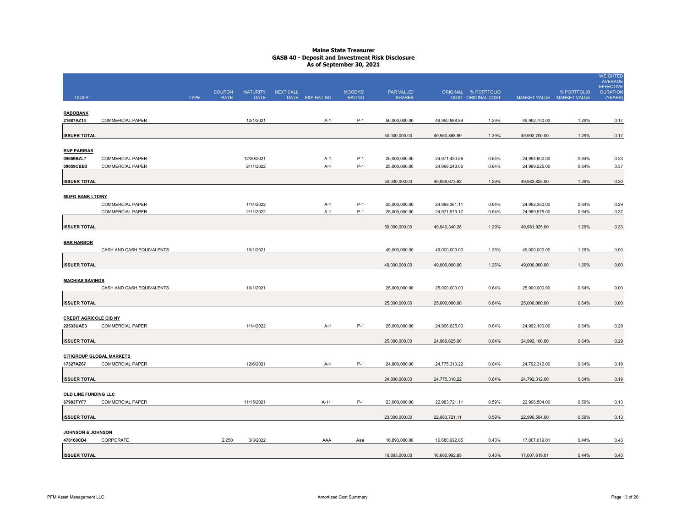|                                              |                                             |             |                              |                                |                  |                 |                          |                                |                                |                                            |                                |                | <b>WEIGHTED</b><br><b>AVERAGE</b><br>EFFECTIVE |
|----------------------------------------------|---------------------------------------------|-------------|------------------------------|--------------------------------|------------------|-----------------|--------------------------|--------------------------------|--------------------------------|--------------------------------------------|--------------------------------|----------------|------------------------------------------------|
| <b>CUSIP</b>                                 |                                             | <b>TYPE</b> | <b>COUPON</b><br><b>RATE</b> | <b>MATURITY</b><br><b>DATE</b> | <b>NEXT CALL</b> | DATE S&P RATING | MOODYS'<br><b>RATING</b> | PAR VALUE/<br><b>SHARES</b>    |                                | ORIGINAL % PORTFOLIO<br>COST ORIGINAL COST | MARKET VALUE MARKET VALUE      | % PORTFOLIO    | <b>DURATION</b><br>(YEARS)                     |
|                                              |                                             |             |                              |                                |                  |                 |                          |                                |                                |                                            |                                |                |                                                |
| <b>RABOBANK</b><br>21687AZ14                 | COMMERCIAL PAPER                            |             |                              | 12/1/2021                      |                  |                 | $P-1$                    | 50,000,000.00                  | 49,950,888.89                  | 1.29%                                      | 49,992,700.00                  | 1.29%          | 0.17                                           |
|                                              |                                             |             |                              |                                |                  | A-1             |                          |                                |                                |                                            |                                |                |                                                |
| <b>ISSUER TOTAL</b>                          |                                             |             |                              |                                |                  |                 |                          | 50,000,000.00                  | 49,950,888.89                  | 1.29%                                      | 49,992,700.00                  | 1.29%          | 0.17                                           |
|                                              |                                             |             |                              |                                |                  |                 |                          |                                |                                |                                            |                                |                |                                                |
| <b>BNP PARIBAS</b>                           |                                             |             |                              |                                |                  |                 |                          |                                |                                |                                            |                                |                |                                                |
| 09659BZL7<br>09659CBB3                       | <b>COMMERCIAL PAPER</b><br>COMMERCIAL PAPER |             |                              | 12/20/2021<br>2/11/2022        |                  | $A-1$<br>$A-1$  | $P-1$<br>$P-1$           | 25,000,000.00<br>25,000,000.00 | 24,971,430.56<br>24,968,243.06 | 0.64%<br>0.64%                             | 24,994,600.00<br>24,989,225.00 | 0.64%<br>0.64% | 0.23<br>0.37                                   |
|                                              |                                             |             |                              |                                |                  |                 |                          |                                |                                |                                            |                                |                |                                                |
| <b>ISSUER TOTAL</b>                          |                                             |             |                              |                                |                  |                 |                          | 50,000,000.00                  | 49,939,673.62                  | 1.29%                                      | 49,983,825.00                  | 1.29%          | 0.30                                           |
|                                              |                                             |             |                              |                                |                  |                 |                          |                                |                                |                                            |                                |                |                                                |
| <b>MUFG BANK LTD/NY</b>                      | COMMERCIAL PAPER                            |             |                              | 1/14/2022                      |                  | $A-1$           | $P-1$                    | 25,000,000.00                  | 24,968,361.11                  | 0.64%                                      | 24,992,350.00                  | 0.64%          | 0.29                                           |
|                                              | COMMERCIAL PAPER                            |             |                              | 2/11/2022                      |                  | $A-1$           | $P-1$                    | 25,000,000.00                  | 24,971,979.17                  | 0.64%                                      | 24,989,575.00                  | 0.64%          | 0.37                                           |
|                                              |                                             |             |                              |                                |                  |                 |                          |                                |                                |                                            |                                |                |                                                |
| <b>ISSUER TOTAL</b>                          |                                             |             |                              |                                |                  |                 |                          | 50,000,000.00                  | 49,940,340.28                  | 1.29%                                      | 49,981,925.00                  | 1.29%          | 0.33                                           |
| <b>BAR HARBOR</b>                            |                                             |             |                              |                                |                  |                 |                          |                                |                                |                                            |                                |                |                                                |
|                                              | CASH AND CASH EQUIVALENTS                   |             |                              | 10/1/2021                      |                  |                 |                          | 49,000,000.00                  | 49,000,000.00                  | 1.26%                                      | 49,000,000.00                  | 1.26%          | 0.00                                           |
|                                              |                                             |             |                              |                                |                  |                 |                          |                                |                                |                                            |                                |                |                                                |
| <b>ISSUER TOTAL</b>                          |                                             |             |                              |                                |                  |                 |                          | 49,000,000.00                  | 49,000,000.00                  | 1.26%                                      | 49,000,000.00                  | 1.26%          | 0.00                                           |
|                                              |                                             |             |                              |                                |                  |                 |                          |                                |                                |                                            |                                |                |                                                |
| <b>MACHIAS SAVINGS</b>                       | CASH AND CASH EQUIVALENTS                   |             |                              | 10/1/2021                      |                  |                 |                          | 25,000,000.00                  | 25,000,000.00                  | 0.64%                                      | 25,000,000.00                  | 0.64%          | 0.00                                           |
|                                              |                                             |             |                              |                                |                  |                 |                          |                                |                                |                                            |                                |                |                                                |
| <b>ISSUER TOTAL</b>                          |                                             |             |                              |                                |                  |                 |                          | 25,000,000.00                  | 25,000,000.00                  | 0.64%                                      | 25,000,000.00                  | 0.64%          | 0.00                                           |
|                                              |                                             |             |                              |                                |                  |                 |                          |                                |                                |                                            |                                |                |                                                |
| <b>CREDIT AGRICOLE CIB NY</b><br>22533UAE3   | <b>COMMERCIAL PAPER</b>                     |             |                              | 1/14/2022                      |                  | $A-1$           | P-1                      | 25,000,000.00                  | 24,966,625.00                  | 0.64%                                      | 24,992,100.00                  | 0.64%          | 0.29                                           |
|                                              |                                             |             |                              |                                |                  |                 |                          |                                |                                |                                            |                                |                |                                                |
| <b>ISSUER TOTAL</b>                          |                                             |             |                              |                                |                  |                 |                          | 25,000,000.00                  | 24,966,625.00                  | 0.64%                                      | 24,992,100.00                  | 0.64%          | 0.29                                           |
|                                              |                                             |             |                              |                                |                  |                 |                          |                                |                                |                                            |                                |                |                                                |
| <b>CITIGROUP GLOBAL MARKETS</b><br>17327AZ67 | <b>COMMERCIAL PAPER</b>                     |             |                              | 12/6/2021                      |                  | $A-1$           | $P-1$                    | 24,800,000.00                  | 24,775,310.22                  | 0.64%                                      | 24,792,312.00                  | 0.64%          | 0.19                                           |
|                                              |                                             |             |                              |                                |                  |                 |                          |                                |                                |                                            |                                |                |                                                |
| <b>ISSUER TOTAL</b>                          |                                             |             |                              |                                |                  |                 |                          | 24,800,000.00                  | 24,775,310.22                  | 0.64%                                      | 24,792,312.00                  | 0.64%          | 0.19                                           |
|                                              |                                             |             |                              |                                |                  |                 |                          |                                |                                |                                            |                                |                |                                                |
| <b>OLD LINE FUNDING LLC</b>                  |                                             |             |                              |                                |                  |                 |                          |                                |                                |                                            |                                |                |                                                |
| 67983TYF7                                    | COMMERCIAL PAPER                            |             |                              | 11/15/2021                     |                  | $A-1+$          | $P-1$                    | 23,000,000.00                  | 22,983,721.11                  | 0.59%                                      | 22,996,504.00                  | 0.59%          | 0.13                                           |
| <b>ISSUER TOTAL</b>                          |                                             |             |                              |                                |                  |                 |                          | 23,000,000.00                  | 22,983,721.11                  | 0.59%                                      | 22,996,504.00                  | 0.59%          | 0.13                                           |
|                                              |                                             |             |                              |                                |                  |                 |                          |                                |                                |                                            |                                |                |                                                |
| JOHNSON & JOHNSON                            |                                             |             |                              |                                |                  |                 |                          |                                |                                |                                            |                                |                |                                                |
| 478160CD4                                    | CORPORATE                                   |             | 2.250                        | 3/3/2022                       |                  | AAA             | Aaa                      | 16,893,000.00                  | 16,680,992.85                  | 0.43%                                      | 17,007,619.01                  | 0.44%          | 0.43                                           |
| <b>ISSUER TOTAL</b>                          |                                             |             |                              |                                |                  |                 |                          | 16,893,000.00                  | 16,680,992.85                  | 0.43%                                      | 17,007,619.01                  | 0.44%          | 0.43                                           |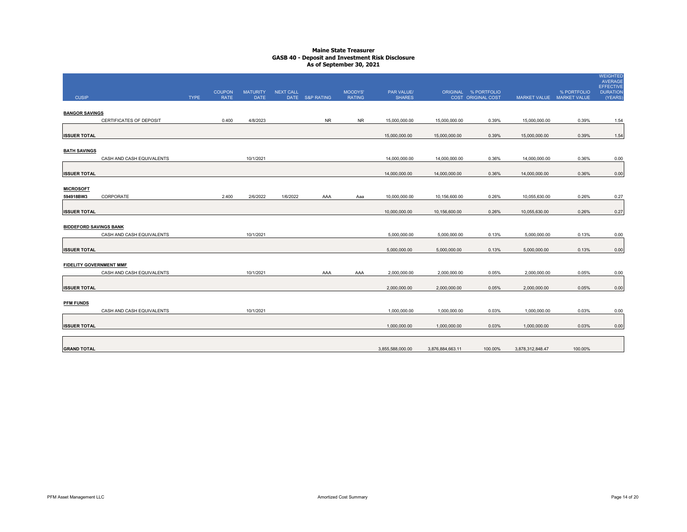| <b>CUSIP</b>                   |                           | <b>TYPE</b> | <b>COUPON</b><br><b>RATE</b> | <b>MATURITY</b><br><b>DATE</b> | NEXT CALL | DATE S&P RATING | MOODYS'<br><b>RATING</b> | PAR VALUE/<br><b>SHARES</b> |                  | ORIGINAL % PORTFOLIO<br>COST ORIGINAL COST | MARKET VALUE MARKET VALUE | % PORTFOLIO | <b>WEIGHTED</b><br>AVERAGE<br><b>EFFECTIVE</b><br><b>DURATION</b><br>(YEARS) |
|--------------------------------|---------------------------|-------------|------------------------------|--------------------------------|-----------|-----------------|--------------------------|-----------------------------|------------------|--------------------------------------------|---------------------------|-------------|------------------------------------------------------------------------------|
| <b>BANGOR SAVINGS</b>          | CERTIFICATES OF DEPOSIT   |             | 0.400                        | 4/8/2023                       |           | <b>NR</b>       | <b>NR</b>                |                             |                  | 0.39%                                      |                           | 0.39%       | 1.54                                                                         |
|                                |                           |             |                              |                                |           |                 |                          | 15,000,000.00               | 15,000,000.00    |                                            | 15,000,000.00             |             |                                                                              |
| <b>ISSUER TOTAL</b>            |                           |             |                              |                                |           |                 |                          | 15,000,000.00               | 15,000,000.00    | 0.39%                                      | 15,000,000.00             | 0.39%       | 1.54                                                                         |
| <b>BATH SAVINGS</b>            |                           |             |                              |                                |           |                 |                          |                             |                  |                                            |                           |             |                                                                              |
|                                | CASH AND CASH EQUIVALENTS |             |                              | 10/1/2021                      |           |                 |                          | 14,000,000.00               | 14,000,000.00    | 0.36%                                      | 14,000,000.00             | 0.36%       | 0.00                                                                         |
| <b>ISSUER TOTAL</b>            |                           |             |                              |                                |           |                 |                          | 14,000,000.00               | 14,000,000.00    | 0.36%                                      | 14,000,000.00             | 0.36%       | 0.00                                                                         |
| <b>MICROSOFT</b><br>594918BW3  | CORPORATE                 |             | 2.400                        | 2/6/2022                       | 1/6/2022  | AAA             | Aaa                      | 10,000,000.00               | 10,156,600.00    | 0.26%                                      | 10,055,630.00             | 0.26%       | 0.27                                                                         |
|                                |                           |             |                              |                                |           |                 |                          |                             |                  |                                            |                           |             |                                                                              |
| <b>ISSUER TOTAL</b>            |                           |             |                              |                                |           |                 |                          | 10,000,000.00               | 10,156,600.00    | 0.26%                                      | 10,055,630.00             | 0.26%       | 0.27                                                                         |
| <b>BIDDEFORD SAVINGS BANK</b>  |                           |             |                              |                                |           |                 |                          |                             |                  |                                            |                           |             |                                                                              |
|                                | CASH AND CASH EQUIVALENTS |             |                              | 10/1/2021                      |           |                 |                          | 5,000,000.00                | 5,000,000.00     | 0.13%                                      | 5,000,000.00              | 0.13%       | 0.00                                                                         |
| <b>ISSUER TOTAL</b>            |                           |             |                              |                                |           |                 |                          | 5,000,000.00                | 5,000,000.00     | 0.13%                                      | 5,000,000.00              | 0.13%       | 0.00                                                                         |
| <b>FIDELITY GOVERNMENT MMF</b> |                           |             |                              |                                |           |                 |                          |                             |                  |                                            |                           |             |                                                                              |
|                                | CASH AND CASH EQUIVALENTS |             |                              | 10/1/2021                      |           | AAA             | AAA                      | 2,000,000.00                | 2,000,000.00     | 0.05%                                      | 2,000,000.00              | 0.05%       | 0.00                                                                         |
| <b>ISSUER TOTAL</b>            |                           |             |                              |                                |           |                 |                          | 2,000,000.00                | 2,000,000.00     | 0.05%                                      | 2,000,000.00              | 0.05%       | 0.00                                                                         |
| <b>PFM FUNDS</b>               |                           |             |                              |                                |           |                 |                          |                             |                  |                                            |                           |             |                                                                              |
|                                | CASH AND CASH EQUIVALENTS |             |                              | 10/1/2021                      |           |                 |                          | 1.000.000.00                | 1,000,000.00     | 0.03%                                      | 1,000,000.00              | 0.03%       | 0.00                                                                         |
| <b>ISSUER TOTAL</b>            |                           |             |                              |                                |           |                 |                          | 1,000,000.00                | 1,000,000.00     | 0.03%                                      | 1,000,000.00              | 0.03%       | 0.00                                                                         |
| <b>GRAND TOTAL</b>             |                           |             |                              |                                |           |                 |                          |                             |                  | 100.00%                                    |                           |             |                                                                              |
|                                |                           |             |                              |                                |           |                 |                          | 3,855,588,000.00            | 3,876,884,663.11 |                                            | 3,878,312,848.47          | 100.00%     |                                                                              |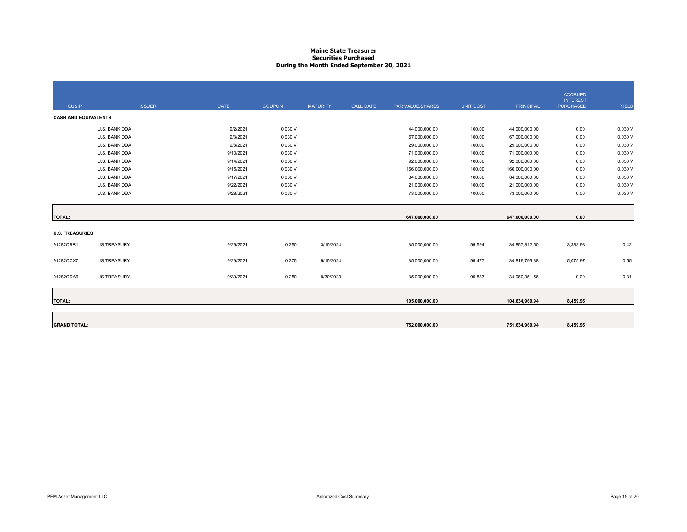#### **Maine State Treasurer Securities PurchasedDuring the Month Ended September 30, 2021**

|                             |                    |             |               |                 |                  |                  |                  |                  | <b>ACCRUED</b><br><b>INTEREST</b> |         |
|-----------------------------|--------------------|-------------|---------------|-----------------|------------------|------------------|------------------|------------------|-----------------------------------|---------|
| <b>CUSIP</b>                | <b>ISSUER</b>      | <b>DATE</b> | <b>COUPON</b> | <b>MATURITY</b> | <b>CALL DATE</b> | PAR VALUE/SHARES | <b>UNIT COST</b> | <b>PRINCIPAL</b> | <b>PURCHASED</b>                  | YIELD   |
| <b>CASH AND EQUIVALENTS</b> |                    |             |               |                 |                  |                  |                  |                  |                                   |         |
|                             | U.S. BANK DDA      | 9/2/2021    | 0.030V        |                 |                  | 44,000,000.00    | 100.00           | 44,000,000.00    | 0.00                              | 0.030 V |
|                             | U.S. BANK DDA      | 9/3/2021    | 0.030V        |                 |                  | 67,000,000.00    | 100.00           | 67,000,000.00    | 0.00                              | 0.030 V |
|                             | U.S. BANK DDA      | 9/8/2021    | 0.030V        |                 |                  | 29,000,000.00    | 100.00           | 29,000,000.00    | 0.00                              | 0.030 V |
|                             | U.S. BANK DDA      | 9/10/2021   | 0.030V        |                 |                  | 71,000,000.00    | 100.00           | 71,000,000.00    | 0.00                              | 0.030 V |
|                             | U.S. BANK DDA      | 9/14/2021   | 0.030V        |                 |                  | 92,000,000.00    | 100.00           | 92,000,000.00    | 0.00                              | 0.030 V |
|                             | U.S. BANK DDA      | 9/15/2021   | 0.030V        |                 |                  | 166,000,000.00   | 100.00           | 166,000,000.00   | 0.00                              | 0.030 V |
|                             | U.S. BANK DDA      | 9/17/2021   | 0.030V        |                 |                  | 84,000,000.00    | 100.00           | 84,000,000.00    | 0.00                              | 0.030 V |
|                             | U.S. BANK DDA      | 9/22/2021   | 0.030V        |                 |                  | 21,000,000.00    | 100.00           | 21,000,000.00    | 0.00                              | 0.030 V |
|                             | U.S. BANK DDA      | 9/28/2021   | 0.030V        |                 |                  | 73,000,000.00    | 100.00           | 73,000,000.00    | 0.00                              | 0.030 V |
|                             |                    |             |               |                 |                  |                  |                  |                  |                                   |         |
|                             |                    |             |               |                 |                  |                  |                  |                  |                                   |         |
| <b>TOTAL:</b>               |                    |             |               |                 |                  | 647,000,000.00   |                  | 647,000,000.00   | 0.00                              |         |
| <b>U.S. TREASURIES</b>      |                    |             |               |                 |                  |                  |                  |                  |                                   |         |
|                             |                    |             |               |                 |                  |                  |                  |                  |                                   |         |
| 91282CBR1.                  | <b>US TREASURY</b> | 9/29/2021   | 0.250         | 3/15/2024       |                  | 35,000,000.00    | 99.594           | 34,857,812.50    | 3,383.98                          | 0.42    |
|                             |                    |             |               |                 |                  |                  |                  |                  |                                   |         |
| 91282CCX7                   | <b>US TREASURY</b> | 9/29/2021   | 0.375         | 9/15/2024       |                  | 35,000,000.00    | 99.477           | 34,816,796.88    | 5,075.97                          | 0.55    |
|                             |                    |             |               |                 |                  |                  |                  |                  |                                   |         |
| 91282CDA6                   | <b>US TREASURY</b> | 9/30/2021   | 0.250         | 9/30/2023       |                  | 35,000,000.00    | 99.887           | 34,960,351.56    | 0.00                              | 0.31    |
|                             |                    |             |               |                 |                  |                  |                  |                  |                                   |         |
| <b>TOTAL:</b>               |                    |             |               |                 |                  | 105,000,000.00   |                  | 104,634,960.94   | 8,459.95                          |         |
|                             |                    |             |               |                 |                  |                  |                  |                  |                                   |         |
|                             |                    |             |               |                 |                  |                  |                  |                  |                                   |         |
| <b>GRAND TOTAL:</b>         |                    |             |               |                 |                  | 752,000,000.00   |                  | 751,634,960.94   | 8,459.95                          |         |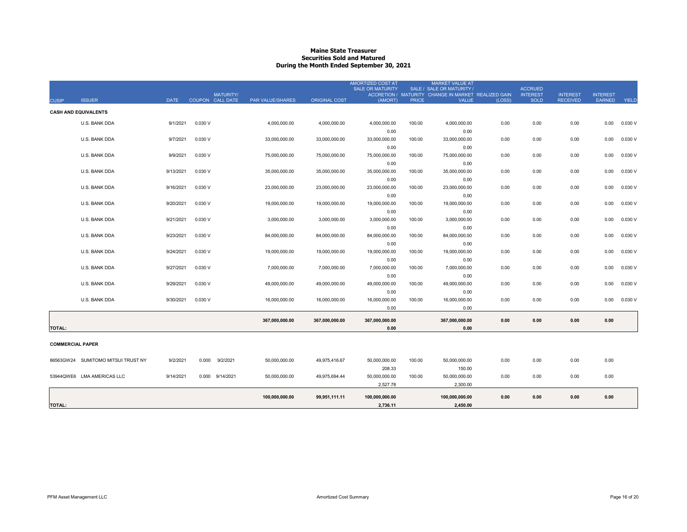#### **Maine State Treasurer Securities Sold and MaturedDuring the Month Ended September 30, 2021**

|                         |                                    |             |                                      |                  |                      | <b>AMORTIZED COST AT</b><br><b>SALE OR MATURITY</b> |              | <b>MARKET VALUE AT</b><br>SALE / SALE OR MATURITY /                 |        | <b>ACCRUED</b>                 |                                    |                                  |              |
|-------------------------|------------------------------------|-------------|--------------------------------------|------------------|----------------------|-----------------------------------------------------|--------------|---------------------------------------------------------------------|--------|--------------------------------|------------------------------------|----------------------------------|--------------|
| <b>CUSIP</b>            | <b>ISSUER</b>                      | <b>DATE</b> | <b>MATURITY/</b><br>COUPON CALL DATE | PAR VALUE/SHARES | <b>ORIGINAL COST</b> | (AMORT)                                             | <b>PRICE</b> | ACCRETION / MATURITY CHANGE IN MARKET REALIZED GAIN<br><b>VALUE</b> | (LOSS) | <b>INTEREST</b><br><b>SOLD</b> | <b>INTEREST</b><br><b>RECEIVED</b> | <b>INTEREST</b><br><b>EARNED</b> | <b>YIELD</b> |
|                         |                                    |             |                                      |                  |                      |                                                     |              |                                                                     |        |                                |                                    |                                  |              |
|                         | <b>CASH AND EQUIVALENTS</b>        |             |                                      |                  |                      |                                                     |              |                                                                     |        |                                |                                    |                                  |              |
|                         | U.S. BANK DDA                      | 9/1/2021    | 0.030 V                              | 4,000,000.00     | 4,000,000.00         | 4,000,000.00                                        | 100.00       | 4,000,000.00                                                        | 0.00   | 0.00                           | 0.00                               | 0.00                             | 0.030 V      |
|                         |                                    |             |                                      |                  |                      | 0.00                                                |              | 0.00                                                                |        |                                |                                    |                                  |              |
|                         | U.S. BANK DDA                      | 9/7/2021    | 0.030 V                              | 33,000,000.00    | 33,000,000.00        | 33,000,000.00                                       | 100.00       | 33,000,000.00                                                       | 0.00   | 0.00                           | 0.00                               | 0.00                             | 0.030 V      |
|                         |                                    |             |                                      |                  |                      | 0.00                                                |              | 0.00                                                                |        |                                |                                    |                                  |              |
|                         | U.S. BANK DDA                      | 9/9/2021    | 0.030 V                              | 75,000,000.00    | 75,000,000.00        | 75,000,000.00                                       | 100.00       | 75,000,000.00                                                       | 0.00   | 0.00                           | 0.00                               | 0.00                             | 0.030V       |
|                         |                                    |             |                                      |                  |                      | 0.00                                                |              | 0.00                                                                |        |                                |                                    |                                  |              |
|                         | U.S. BANK DDA                      | 9/13/2021   | 0.030 V                              | 35,000,000.00    | 35,000,000.00        | 35,000,000.00                                       | 100.00       | 35,000,000.00                                                       | 0.00   | 0.00                           | 0.00                               | 0.00                             | 0.030V       |
|                         |                                    |             |                                      |                  |                      | 0.00                                                |              | 0.00                                                                |        |                                |                                    |                                  |              |
|                         | U.S. BANK DDA                      | 9/16/2021   | 0.030 V                              | 23,000,000.00    | 23,000,000.00        | 23,000,000.00                                       | 100.00       | 23,000,000.00                                                       | 0.00   | 0.00                           | 0.00                               | 0.00                             | 0.030 V      |
|                         |                                    |             |                                      |                  |                      | 0.00                                                |              | 0.00                                                                |        |                                |                                    |                                  |              |
|                         | U.S. BANK DDA                      | 9/20/2021   | 0.030 V                              | 19,000,000.00    | 19,000,000.00        | 19,000,000.00                                       | 100.00       | 19,000,000.00                                                       | 0.00   | 0.00                           | 0.00                               | 0.00                             | 0.030 V      |
|                         |                                    |             |                                      |                  |                      | 0.00                                                |              | 0.00                                                                |        |                                |                                    |                                  |              |
|                         | U.S. BANK DDA                      | 9/21/2021   | 0.030V                               | 3,000,000.00     | 3,000,000.00         | 3,000,000.00                                        | 100.00       | 3,000,000.00                                                        | 0.00   | 0.00                           | 0.00                               | 0.00                             | 0.030V       |
|                         |                                    |             |                                      |                  |                      | 0.00                                                |              | 0.00                                                                |        |                                |                                    |                                  |              |
|                         | U.S. BANK DDA                      | 9/23/2021   | 0.030 V                              | 84,000,000.00    | 84,000,000.00        | 84,000,000.00                                       | 100.00       | 84,000,000.00                                                       | 0.00   | 0.00                           | 0.00                               | 0.00                             | 0.030 V      |
|                         |                                    |             |                                      |                  |                      | 0.00                                                |              | 0.00                                                                |        |                                |                                    |                                  |              |
|                         | U.S. BANK DDA                      | 9/24/2021   | 0.030 V                              | 19,000,000.00    | 19,000,000.00        | 19,000,000.00                                       | 100.00       | 19,000,000.00                                                       | 0.00   | 0.00                           | 0.00                               | 0.00                             | 0.030 V      |
|                         |                                    |             |                                      |                  |                      | 0.00                                                |              | 0.00                                                                |        |                                |                                    |                                  |              |
|                         | U.S. BANK DDA                      | 9/27/2021   | 0.030 V                              | 7,000,000.00     | 7,000,000.00         | 7,000,000.00                                        | 100.00       | 7,000,000.00                                                        | 0.00   | 0.00                           | 0.00                               | 0.00                             | 0.030 V      |
|                         |                                    |             |                                      |                  |                      | 0.00                                                |              | 0.00                                                                |        |                                |                                    |                                  |              |
|                         | U.S. BANK DDA                      | 9/29/2021   | 0.030 V                              | 49,000,000.00    | 49,000,000.00        | 49,000,000.00                                       | 100.00       | 49,000,000.00                                                       | 0.00   | 0.00                           | 0.00                               | 0.00                             | 0.030 V      |
|                         |                                    |             |                                      |                  |                      | 0.00                                                |              | 0.00                                                                |        |                                |                                    |                                  |              |
|                         | U.S. BANK DDA                      | 9/30/2021   | 0.030 V                              | 16,000,000.00    | 16,000,000.00        | 16,000,000.00                                       | 100.00       | 16,000,000.00                                                       | 0.00   | 0.00                           | 0.00                               | 0.00                             | 0.030V       |
|                         |                                    |             |                                      |                  |                      | 0.00                                                |              | 0.00                                                                |        |                                |                                    |                                  |              |
|                         |                                    |             |                                      | 367,000,000.00   | 367,000,000.00       | 367,000,000.00                                      |              | 367,000,000.00                                                      | 0.00   | 0.00                           | 0.00                               | 0.00                             |              |
| <b>TOTAL:</b>           |                                    |             |                                      |                  |                      | 0.00                                                |              | 0.00                                                                |        |                                |                                    |                                  |              |
|                         |                                    |             |                                      |                  |                      |                                                     |              |                                                                     |        |                                |                                    |                                  |              |
| <b>COMMERCIAL PAPER</b> |                                    |             |                                      |                  |                      |                                                     |              |                                                                     |        |                                |                                    |                                  |              |
|                         |                                    |             |                                      |                  |                      |                                                     |              |                                                                     |        |                                |                                    |                                  |              |
|                         | 86563GW24 SUMITOMO MITSUI TRUST NY | 9/2/2021    | 0.000<br>9/2/2021                    | 50,000,000.00    | 49,975,416.67        | 50,000,000.00                                       | 100.00       | 50,000,000.00                                                       | 0.00   | 0.00                           | 0.00                               | 0.00                             |              |
|                         |                                    |             |                                      |                  |                      | 208.33                                              |              | 150.00                                                              |        |                                |                                    |                                  |              |
|                         | 53944QWE6 LMA AMERICAS LLC         | 9/14/2021   | 0.000 9/14/2021                      | 50,000,000.00    | 49,975,694.44        | 50,000,000.00                                       | 100.00       | 50,000,000.00                                                       | 0.00   | 0.00                           | 0.00                               | 0.00                             |              |
|                         |                                    |             |                                      |                  |                      | 2,527.78                                            |              | 2.300.00                                                            |        |                                |                                    |                                  |              |
|                         |                                    |             |                                      | 100,000,000.00   | 99,951,111.11        | 100,000,000.00                                      |              | 100,000,000.00                                                      | 0.00   | 0.00                           | 0.00                               | 0.00                             |              |
| <b>TOTAL:</b>           |                                    |             |                                      |                  |                      | 2,736.11                                            |              | 2,450.00                                                            |        |                                |                                    |                                  |              |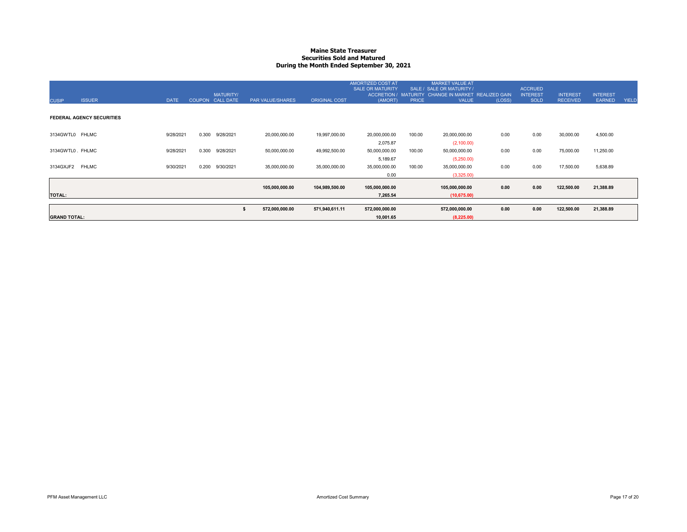#### **Maine State Treasurer Securities Sold and MaturedDuring the Month Ended September 30, 2021**

| <b>CUSIP</b>        | <b>ISSUER</b>                    | <b>DATE</b> |       | <b>MATURITY/</b><br>COUPON CALL DATE | PAR VALUE/SHARES | <b>ORIGINAL COST</b> | AMORTIZED COST AT<br><b>SALE OR MATURITY</b><br><b>ACCRETION /</b><br>(AMORT) | <b>PRICE</b> | <b>MARKET VALUE AT</b><br>SALE / SALE OR MATURITY /<br>MATURITY CHANGE IN MARKET REALIZED GAIN<br><b>VALUE</b> | (LOSS) | <b>ACCRUED</b><br><b>INTEREST</b><br><b>SOLD</b> | <b>INTEREST</b><br><b>RECEIVED</b> | <b>INTEREST</b><br><b>EARNED</b> | <b>YIELD</b> |
|---------------------|----------------------------------|-------------|-------|--------------------------------------|------------------|----------------------|-------------------------------------------------------------------------------|--------------|----------------------------------------------------------------------------------------------------------------|--------|--------------------------------------------------|------------------------------------|----------------------------------|--------------|
|                     | <b>FEDERAL AGENCY SECURITIES</b> |             |       |                                      |                  |                      |                                                                               |              |                                                                                                                |        |                                                  |                                    |                                  |              |
| 3134GWTL0 FHLMC     |                                  | 9/28/2021   | 0.300 | 9/28/2021                            | 20,000,000.00    | 19,997,000.00        | 20,000,000.00<br>2,075.87                                                     | 100.00       | 20,000,000.00<br>(2,100.00)                                                                                    | 0.00   | 0.00                                             | 30,000.00                          | 4,500.00                         |              |
| 3134GWTL0. FHLMC    |                                  | 9/28/2021   | 0.300 | 9/28/2021                            | 50,000,000.00    | 49,992,500.00        | 50,000,000.00                                                                 | 100.00       | 50,000,000.00                                                                                                  | 0.00   | 0.00                                             | 75,000.00                          | 11,250.00                        |              |
| 3134GXJF2 FHLMC     |                                  | 9/30/2021   | 0.200 | 9/30/2021                            | 35,000,000.00    | 35,000,000.00        | 5,189.67<br>35,000,000.00<br>0.00                                             | 100.00       | (5,250.00)<br>35,000,000.00<br>(3,325.00)                                                                      | 0.00   | 0.00                                             | 17,500.00                          | 5,638.89                         |              |
|                     |                                  |             |       |                                      | 105,000,000.00   | 104,989,500.00       | 105,000,000.00                                                                |              | 105,000,000.00                                                                                                 | 0.00   | 0.00                                             | 122,500.00                         | 21,388.89                        |              |
| <b>TOTAL:</b>       |                                  |             |       |                                      |                  |                      | 7,265.54                                                                      |              | (10,675.00)                                                                                                    |        |                                                  |                                    |                                  |              |
|                     |                                  |             |       |                                      | 572,000,000.00   | 571,940,611.11       | 572,000,000.00                                                                |              | 572,000,000.00                                                                                                 | 0.00   | 0.00                                             | 122,500.00                         | 21,388.89                        |              |
| <b>GRAND TOTAL:</b> |                                  |             |       |                                      |                  |                      | 10,001.65                                                                     |              | (8,225.00)                                                                                                     |        |                                                  |                                    |                                  |              |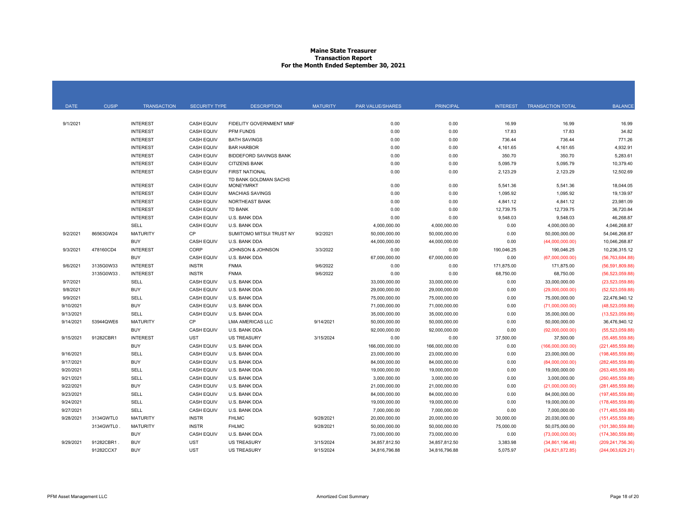#### **Maine State Treasurer Transaction Report For the Month Ended September 30, 2021**

| <b>DATE</b> | <b>CUSIP</b> | <b>TRANSACTION</b> | <b>SECURITY TYPE</b> | <b>DESCRIPTION</b>                        | <b>MATURITY</b> | <b>PAR VALUE/SHARES</b> | <b>PRINCIPAL</b> | <b>INTEREST</b> | <b>TRANSACTION TOTAL</b> | <b>BALANCE</b>     |
|-------------|--------------|--------------------|----------------------|-------------------------------------------|-----------------|-------------------------|------------------|-----------------|--------------------------|--------------------|
|             |              |                    |                      |                                           |                 |                         |                  |                 |                          |                    |
| 9/1/2021    |              | <b>INTEREST</b>    | <b>CASH EQUIV</b>    | FIDELITY GOVERNMENT MMF                   |                 | 0.00                    | 0.00             | 16.99           | 16.99                    | 16.99              |
|             |              | <b>INTEREST</b>    | <b>CASH EQUIV</b>    | PFM FUNDS                                 |                 | 0.00                    | 0.00             | 17.83           | 17.83                    | 34.82              |
|             |              | <b>INTEREST</b>    | <b>CASH EQUIV</b>    | <b>BATH SAVINGS</b>                       |                 | 0.00                    | 0.00             | 736.44          | 736.44                   | 771.26             |
|             |              | <b>INTEREST</b>    | <b>CASH EQUIV</b>    | <b>BAR HARBOR</b>                         |                 | 0.00                    | 0.00             | 4,161.65        | 4,161.65                 | 4,932.91           |
|             |              | <b>INTEREST</b>    | <b>CASH EQUIV</b>    | <b>BIDDEFORD SAVINGS BANK</b>             |                 | 0.00                    | 0.00             | 350.70          | 350.70                   | 5,283.61           |
|             |              | <b>INTEREST</b>    | <b>CASH EQUIV</b>    | <b>CITIZENS BANK</b>                      |                 | 0.00                    | 0.00             | 5,095.79        | 5,095.79                 | 10,379.40          |
|             |              | <b>INTEREST</b>    | <b>CASH EQUIV</b>    | <b>FIRST NATIONAL</b>                     |                 | 0.00                    | 0.00             | 2,123.29        | 2,123.29                 | 12,502.69          |
|             |              | <b>INTEREST</b>    | <b>CASH EQUIV</b>    | TD BANK GOLDMAN SACHS<br><b>MONEYMRKT</b> |                 | 0.00                    | 0.00             | 5,541.36        | 5,541.36                 | 18,044.05          |
|             |              | <b>INTEREST</b>    | <b>CASH EQUIV</b>    | <b>MACHIAS SAVINGS</b>                    |                 | 0.00                    | 0.00             | 1,095.92        | 1,095.92                 | 19,139.97          |
|             |              | <b>INTEREST</b>    | <b>CASH EQUIV</b>    | NORTHEAST BANK                            |                 | 0.00                    | 0.00             | 4,841.12        | 4,841.12                 | 23,981.09          |
|             |              | <b>INTEREST</b>    | <b>CASH EQUIV</b>    | <b>TD BANK</b>                            |                 | 0.00                    | 0.00             | 12,739.75       | 12,739.75                | 36,720.84          |
|             |              | <b>INTEREST</b>    | <b>CASH EQUIV</b>    | U.S. BANK DDA                             |                 | 0.00                    | 0.00             | 9,548.03        | 9,548.03                 | 46,268.87          |
|             |              | SELL               | <b>CASH EQUIV</b>    | U.S. BANK DDA                             |                 | 4,000,000.00            | 4,000,000.00     | 0.00            | 4,000,000.00             | 4,046,268.87       |
| 9/2/2021    | 86563GW24    | <b>MATURITY</b>    | CP                   | SUMITOMO MITSUI TRUST NY                  | 9/2/2021        | 50,000,000.00           | 50,000,000.00    | 0.00            | 50.000.000.00            | 54.046.268.87      |
|             |              | <b>BUY</b>         | <b>CASH EQUIV</b>    | U.S. BANK DDA                             |                 | 44,000,000.00           | 44,000,000.00    | 0.00            | (44,000,000.00)          | 10,046,268.87      |
| 9/3/2021    | 478160CD4    | <b>INTEREST</b>    | CORP                 | JOHNSON & JOHNSON                         | 3/3/2022        | 0.00                    | 0.00             | 190,046.25      | 190,046.25               | 10,236,315.12      |
|             |              | <b>BUY</b>         | <b>CASH EQUIV</b>    | U.S. BANK DDA                             |                 | 67,000,000.00           | 67,000,000.00    | 0.00            | (67,000,000.00)          | (56, 763, 684.88)  |
| 9/6/2021    | 3135G0W33    | <b>INTEREST</b>    | <b>INSTR</b>         | <b>FNMA</b>                               | 9/6/2022        | 0.00                    | 0.00             | 171,875.00      | 171,875.00               | (56,591,809.88)    |
|             | 3135G0W33    | <b>INTEREST</b>    | <b>INSTR</b>         | <b>FNMA</b>                               | 9/6/2022        | 0.00                    | 0.00             | 68,750.00       | 68,750.00                | (56.523.059.88)    |
|             |              |                    |                      | U.S. BANK DDA                             |                 |                         |                  |                 |                          |                    |
| 9/7/2021    |              | SELL<br><b>BUY</b> | <b>CASH EQUIV</b>    |                                           |                 | 33,000,000.00           | 33,000,000.00    | 0.00            | 33,000,000.00            | (23,523,059.88)    |
| 9/8/2021    |              |                    | <b>CASH EQUIV</b>    | <b>U.S. BANK DDA</b>                      |                 | 29,000,000.00           | 29,000,000.00    | 0.00            | (29,000,000.00)          | (52, 523, 059.88)  |
| 9/9/2021    |              | <b>SELL</b>        | <b>CASH EQUIV</b>    | U.S. BANK DDA                             |                 | 75,000,000.00           | 75,000,000.00    | 0.00            | 75,000,000.00            | 22,476,940.12      |
| 9/10/2021   |              | <b>BUY</b>         | <b>CASH EQUIV</b>    | <b>U.S. BANK DDA</b>                      |                 | 71,000,000.00           | 71,000,000.00    | 0.00            | (71,000,000.00)          | (48,523,059.88)    |
| 9/13/2021   |              | SELL               | <b>CASH EQUIV</b>    | U.S. BANK DDA                             |                 | 35,000,000.00           | 35,000,000.00    | 0.00            | 35,000,000.00            | (13,523,059.88)    |
| 9/14/2021   | 53944QWE6    | <b>MATURITY</b>    | <b>CP</b>            | <b>LMA AMERICAS LLC</b>                   | 9/14/2021       | 50,000,000.00           | 50,000,000.00    | 0.00            | 50,000,000.00            | 36,476,940.12      |
|             |              | <b>BUY</b>         | <b>CASH EQUIV</b>    | U.S. BANK DDA                             |                 | 92,000,000.00           | 92,000,000.00    | 0.00            | (92,000,000.00)          | (55,523,059.88)    |
| 9/15/2021   | 91282CBR1    | <b>INTEREST</b>    | <b>UST</b>           | <b>US TREASURY</b>                        | 3/15/2024       | 0.00                    | 0.00             | 37,500.00       | 37,500.00                | (55, 485, 559.88)  |
|             |              | <b>BUY</b>         | <b>CASH EQUIV</b>    | U.S. BANK DDA                             |                 | 166,000,000.00          | 166,000,000.00   | 0.00            | (166,000,000.00)         | (221, 485, 559.88) |
| 9/16/2021   |              | SELL               | <b>CASH EQUIV</b>    | U.S. BANK DDA                             |                 | 23,000,000.00           | 23,000,000.00    | 0.00            | 23,000,000.00            | (198, 485, 559.88) |
| 9/17/2021   |              | <b>BUY</b>         | <b>CASH EQUIV</b>    | U.S. BANK DDA                             |                 | 84,000,000.00           | 84,000,000.00    | 0.00            | (84,000,000.00)          | (282, 485, 559.88) |
| 9/20/2021   |              | <b>SELL</b>        | <b>CASH EQUIV</b>    | U.S. BANK DDA                             |                 | 19,000,000.00           | 19,000,000.00    | 0.00            | 19,000,000.00            | (263, 485, 559.88) |
| 9/21/2021   |              | SELL               | <b>CASH EQUIV</b>    | <b>U.S. BANK DDA</b>                      |                 | 3,000,000.00            | 3,000,000.00     | 0.00            | 3,000,000.00             | (260, 485, 559.88) |
| 9/22/2021   |              | <b>BUY</b>         | <b>CASH EQUIV</b>    | U.S. BANK DDA                             |                 | 21,000,000.00           | 21,000,000.00    | 0.00            | (21,000,000.00)          | (281, 485, 559.88) |
| 9/23/2021   |              | SELL               | <b>CASH EQUIV</b>    | <b>U.S. BANK DDA</b>                      |                 | 84,000,000.00           | 84,000,000.00    | 0.00            | 84,000,000.00            | (197, 485, 559.88) |
| 9/24/2021   |              | SELL               | <b>CASH EQUIV</b>    | <b>U.S. BANK DDA</b>                      |                 | 19,000,000.00           | 19,000,000.00    | 0.00            | 19,000,000.00            | (178, 485, 559.88) |
| 9/27/2021   |              | SELL               | <b>CASH EQUIV</b>    | U.S. BANK DDA                             |                 | 7,000,000.00            | 7,000,000.00     | 0.00            | 7,000,000.00             | (171, 485, 559.88) |
| 9/28/2021   | 3134GWTL0    | <b>MATURITY</b>    | <b>INSTR</b>         | <b>FHLMC</b>                              | 9/28/2021       | 20,000,000.00           | 20,000,000.00    | 30,000.00       | 20.030.000.00            | (151, 455, 559.88) |
|             | 3134GWTL0    | <b>MATURITY</b>    | <b>INSTR</b>         | <b>FHLMC</b>                              | 9/28/2021       | 50,000,000.00           | 50,000,000.00    | 75,000.00       | 50,075,000.00            | (101, 380, 559.88) |
|             |              | <b>BUY</b>         | <b>CASH EQUIV</b>    | U.S. BANK DDA                             |                 | 73,000,000.00           | 73,000,000.00    | 0.00            | (73,000,000.00)          | (174, 380, 559.88) |
| 9/29/2021   | 91282CBR1.   | <b>BUY</b>         | <b>UST</b>           | <b>US TREASURY</b>                        | 3/15/2024       | 34.857.812.50           | 34.857.812.50    | 3.383.98        | (34,861,196.48)          | (209, 241, 756.36) |
|             | 91282CCX7    | <b>BUY</b>         | <b>UST</b>           | <b>US TREASURY</b>                        | 9/15/2024       | 34,816,796.88           | 34,816,796.88    | 5,075.97        | (34,821,872.85)          | (244,063,629.21)   |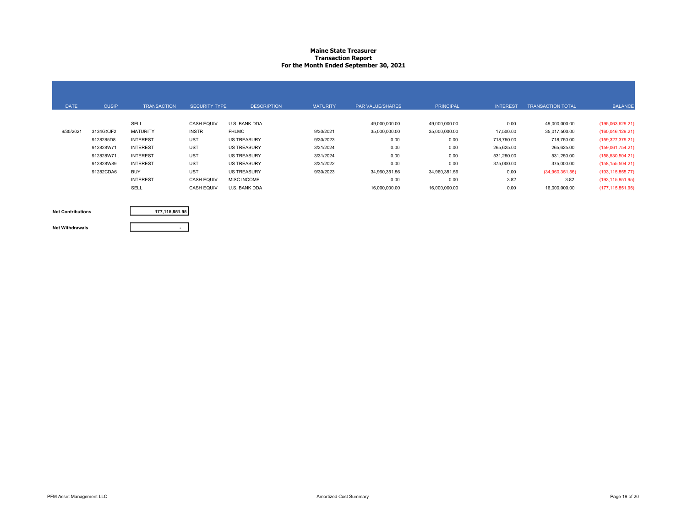#### **Maine State Treasurer Transaction Report For the Month Ended September 30, 2021**

| <b>DATE</b> | <b>CUSIP</b> | <b>TRANSACTION</b> | <b>SECURITY TYPE</b> | <b>DESCRIPTION</b> | <b>MATURITY</b> | PAR VALUE/SHARES | <b>PRINCIPAL</b> | <b>INTEREST</b> | <b>TRANSACTION TOTAL</b> | <b>BALANCE</b>     |
|-------------|--------------|--------------------|----------------------|--------------------|-----------------|------------------|------------------|-----------------|--------------------------|--------------------|
|             |              | SELL               | <b>CASH EQUIV</b>    | U.S. BANK DDA      |                 | 49.000.000.00    | 49,000,000.00    | 0.00            | 49,000,000.00            | (195,063,629.21)   |
| 9/30/2021   | 3134GXJF2    | <b>MATURITY</b>    | <b>INSTR</b>         | <b>FHLMC</b>       | 9/30/2021       | 35,000,000.00    | 35,000,000.00    | 17,500.00       | 35,017,500.00            | (160,046,129.21)   |
|             | 9128285D8    | <b>INTEREST</b>    | <b>UST</b>           | <b>US TREASURY</b> | 9/30/2023       | 0.00             | 0.00             | 718,750.00      | 718,750.00               | (159, 327, 379.21) |
|             | 912828W71    | <b>INTEREST</b>    | <b>UST</b>           | <b>US TREASURY</b> | 3/31/2024       | 0.00             | 0.00             | 265,625.00      | 265,625.00               | (159,061,754.21)   |
|             | 912828W71    | <b>INTEREST</b>    | <b>UST</b>           | <b>US TREASURY</b> | 3/31/2024       | 0.00             | 0.00             | 531,250.00      | 531,250.00               | (158, 530, 504.21) |
|             | 912828W89    | <b>INTEREST</b>    | <b>UST</b>           | <b>US TREASURY</b> | 3/31/2022       | 0.00             | 0.00             | 375,000.00      | 375,000.00               | (158, 155, 504.21) |
|             | 91282CDA6    | <b>BUY</b>         | <b>UST</b>           | <b>US TREASURY</b> | 9/30/2023       | 34,960,351.56    | 34,960,351.56    | 0.00            | (34,960,351.56)          | (193, 115, 855.77) |
|             |              | <b>INTEREST</b>    | <b>CASH EQUIV</b>    | <b>MISC INCOME</b> |                 | 0.00             | 0.00             | 3.82            | 3.82                     | (193, 115, 851.95) |
|             |              | SELL               | <b>CASH EQUIV</b>    | U.S. BANK DDA      |                 | 16,000,000.00    | 16,000,000.00    | 0.00            | 16,000,000.00            | (177, 115, 851.95) |

**Net Contributions**

**177,115,851.95**

**-**

**Net Withdrawals**